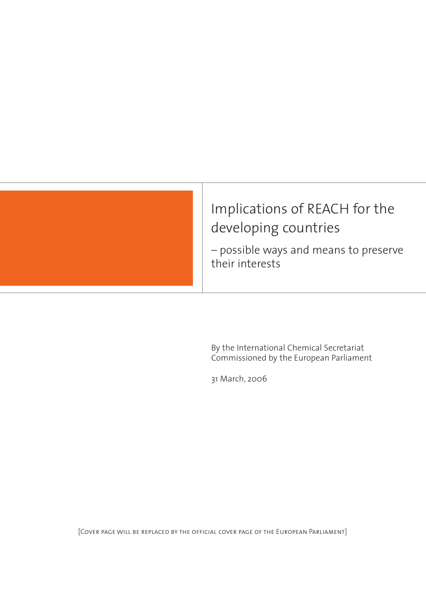

# Implications of REACH for the developing countries

– possible ways and means to preserve their interests

By the International Chemical Secretariat Commissioned by the European Parliament

31 March, 2006

[Cover page will be replaced by the official cover page of the European Parliament]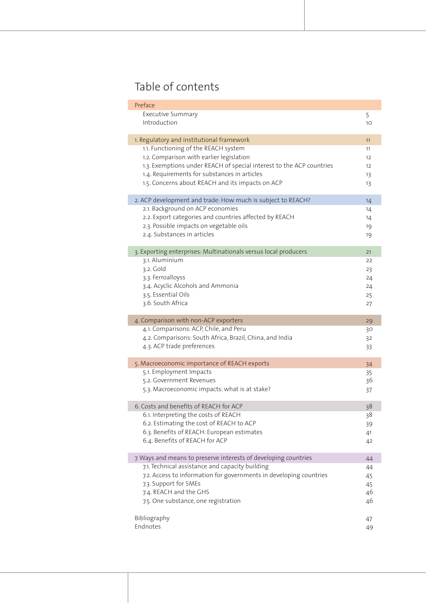# Table of contents

| Preface                                                              |    |
|----------------------------------------------------------------------|----|
| <b>Executive Summary</b>                                             | 5  |
| Introduction                                                         | 10 |
|                                                                      |    |
| 1. Regulatory and institutional framework                            | 11 |
| 1.1. Functioning of the REACH system                                 | 11 |
| 1.2. Comparison with earlier legislation                             | 12 |
| 1.3. Exemptions under REACH of special interest to the ACP countries | 12 |
| 1.4. Requirements for substances in articles                         | 13 |
| 1.5. Concerns about REACH and its impacts on ACP                     | 13 |
| 2. ACP development and trade: How much is subject to REACH?          | 14 |
| 2.1. Background on ACP economies                                     | 14 |
| 2.2. Export categories and countries affected by REACH               | 14 |
| 2.3. Possible impacts on vegetable oils                              | 19 |
| 2.4. Substances in articles                                          | 19 |
|                                                                      |    |
| 3. Exporting enterprises: Multinationals versus local producers      | 21 |
| 3.1. Aluminium                                                       | 22 |
| 3.2. Gold                                                            | 23 |
| 3.3. Ferroalloyss                                                    | 24 |
| 3.4. Acyclic Alcohols and Ammonia                                    | 24 |
| 3.5. Essential Oils                                                  | 25 |
| 3.6. South Africa                                                    | 27 |
| 4. Comparison with non-ACP exporters                                 | 29 |
| 4.1. Comparisons: ACP, Chile, and Peru                               | 30 |
| 4.2. Comparisons: South Africa, Brazil, China, and India             | 32 |
| 4.3. ACP trade preferences                                           | 33 |
|                                                                      |    |
| 5. Macroeconomic importance of REACH exports                         | 34 |
| 5.1. Employment Impacts                                              | 35 |
| 5.2. Government Revenues                                             | 36 |
| 5.3. Macroeconomic impacts: what is at stake?                        | 37 |
| 6. Costs and benefits of REACH for ACP                               | 38 |
| 6.1. Interpreting the costs of REACH                                 | 38 |
| 6.2. Estimating the cost of REACH to ACP                             | 39 |
| 6.3. Benefits of REACH: European estimates                           | 41 |
| 6.4. Benefits of REACH for ACP                                       | 42 |
|                                                                      |    |
| 7. Ways and means to preserve interests of developing countries      | 44 |
| 7.1. Technical assistance and capacity building                      | 44 |
| 7.2. Access to information for governments in developing countries   | 45 |
| 7.3. Support for SMEs                                                | 45 |
| 7.4. REACH and the GHS                                               | 46 |
| 7.5. One substance, one registration                                 | 46 |
| Bibliography                                                         | 47 |
| Endnotes                                                             | 49 |
|                                                                      |    |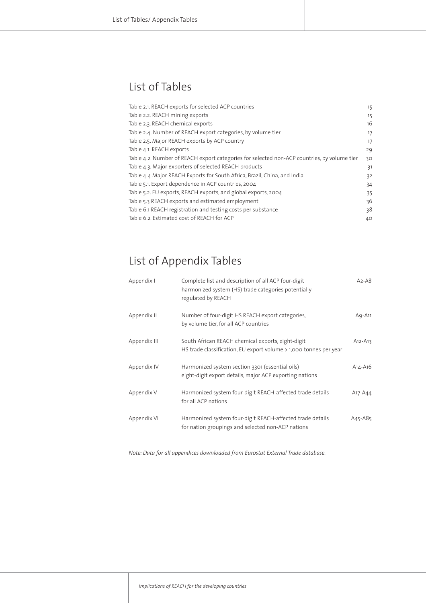# List of Tables

| Table 2.1. REACH exports for selected ACP countries                                         | 15 |
|---------------------------------------------------------------------------------------------|----|
| Table 2.2. REACH mining exports                                                             | 15 |
| Table 2.3. REACH chemical exports                                                           | 16 |
| Table 2.4. Number of REACH export categories, by volume tier                                | 17 |
| Table 2.5. Major REACH exports by ACP country                                               | 17 |
| Table 4.1. REACH exports                                                                    | 29 |
| Table 4.2. Number of REACH export categories for selected non-ACP countries, by volume tier | ЗO |
| Table 4.3. Major exporters of selected REACH products                                       | 31 |
| Table 4.4 Major REACH Exports for South Africa, Brazil, China, and India                    | 32 |
| Table 5.1. Export dependence in ACP countries, 2004                                         | 34 |
| Table 5.2. EU exports, REACH exports, and global exports, 2004                              | 35 |
| Table 5.3 REACH exports and estimated employment                                            | 36 |
| Table 6.1 REACH registration and testing costs per substance                                | 38 |
| Table 6.2. Estimated cost of REACH for ACP                                                  | 40 |

# List of Appendix Tables

| Appendix I   | Complete list and description of all ACP four-digit<br>harmonized system (HS) trade categories potentially<br>regulated by REACH | $A2 - A8$   |
|--------------|----------------------------------------------------------------------------------------------------------------------------------|-------------|
| Appendix II  | Number of four-digit HS REACH export categories,<br>by volume tier, for all ACP countries                                        | A9-A11      |
| Appendix III | South African REACH chemical exports, eight-digit<br>HS trade classification, EU export volume > 1,000 tonnes per year           | $A12 - A13$ |
| Appendix IV  | Harmonized system section 3301 (essential oils)<br>eight-digit export details, major ACP exporting nations                       | $A14 - A16$ |
| Appendix V   | Harmonized system four-digit REACH-affected trade details<br>for all ACP nations                                                 | A17-A44     |
| Appendix VI  | Harmonized system four-digit REACH-affected trade details<br>for nation groupings and selected non-ACP nations                   | A45-A85     |

*Note: Data for all appendices downloaded from Eurostat External Trade database.*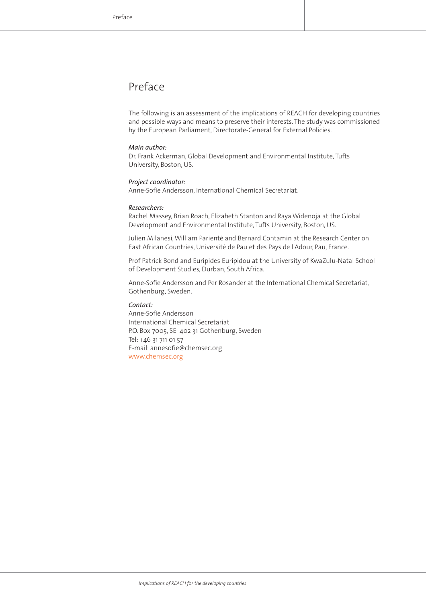# Preface

The following is an assessment of the implications of REACH for developing countries and possible ways and means to preserve their interests. The study was commissioned by the European Parliament, Directorate-General for External Policies.

#### *Main author:*

Dr. Frank Ackerman, Global Development and Environmental Institute, Tufts University, Boston, US.

#### *Project coordinator:*

Anne-Sofie Andersson, International Chemical Secretariat.

#### *Researchers:*

Rachel Massey, Brian Roach, Elizabeth Stanton and Raya Widenoja at the Global Development and Environmental Institute, Tufts University, Boston, US.

Julien Milanesi, William Parienté and Bernard Contamin at the Research Center on East African Countries, Université de Pau et des Pays de l'Adour, Pau, France.

Prof Patrick Bond and Euripides Euripidou at the University of KwaZulu-Natal School of Development Studies, Durban, South Africa.

Anne-Sofie Andersson and Per Rosander at the International Chemical Secretariat, Gothenburg, Sweden.

#### *Contact:*

Anne-Sofie Andersson International Chemical Secretariat P.O. Box 7005, SE 402 31 Gothenburg, Sweden Tel: +46 31 711 01 57 E-mail: annesofie@chemsec.org www.chemsec.org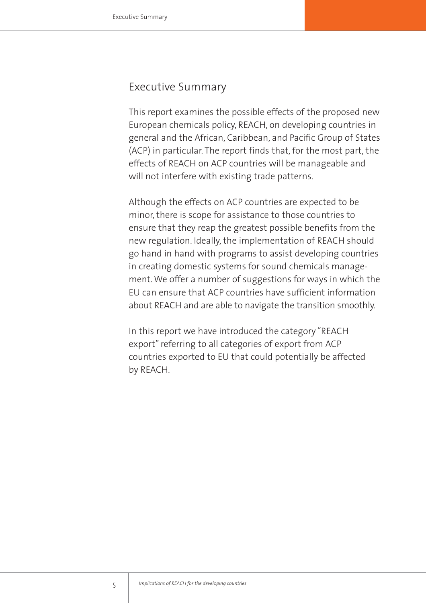# Executive Summary

This report examines the possible effects of the proposed new European chemicals policy, REACH, on developing countries in general and the African, Caribbean, and Pacific Group of States (ACP) in particular. The report finds that, for the most part, the effects of REACH on ACP countries will be manageable and will not interfere with existing trade patterns.

Although the effects on ACP countries are expected to be minor, there is scope for assistance to those countries to ensure that they reap the greatest possible benefits from the new regulation. Ideally, the implementation of REACH should go hand in hand with programs to assist developing countries in creating domestic systems for sound chemicals management. We offer a number of suggestions for ways in which the EU can ensure that ACP countries have sufficient information about REACH and are able to navigate the transition smoothly.

In this report we have introduced the category "REACH export" referring to all categories of export from ACP countries exported to EU that could potentially be affected by REACH.

5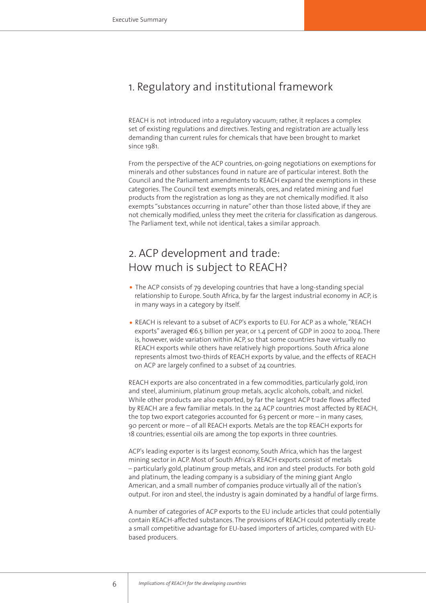# 1. Regulatory and institutional framework

REACH is not introduced into a regulatory vacuum; rather, it replaces a complex set of existing regulations and directives. Testing and registration are actually less demanding than current rules for chemicals that have been brought to market since 1981.

From the perspective of the ACP countries, on-going negotiations on exemptions for minerals and other substances found in nature are of particular interest. Both the Council and the Parliament amendments to REACH expand the exemptions in these categories. The Council text exempts minerals, ores, and related mining and fuel products from the registration as long as they are not chemically modified. It also exempts "substances occurring in nature" other than those listed above, if they are not chemically modified, unless they meet the criteria for classification as dangerous. The Parliament text, while not identical, takes a similar approach.

# 2. ACP development and trade: How much is subject to REACH?

- The ACP consists of 79 developing countries that have a long-standing special relationship to Europe. South Africa, by far the largest industrial economy in ACP, is in many ways in a category by itself.
- REACH is relevant to a subset of ACP's exports to EU. For ACP as a whole, "REACH exports" averaged €6.5 billion per year, or 1.4 percent of GDP in 2002 to 2004. There is, however, wide variation within ACP, so that some countries have virtually no REACH exports while others have relatively high proportions. South Africa alone represents almost two-thirds of REACH exports by value, and the effects of REACH on ACP are largely confined to a subset of 24 countries.

REACH exports are also concentrated in a few commodities, particularly gold, iron and steel, aluminium, platinum group metals, acyclic alcohols, cobalt, and nickel. While other products are also exported, by far the largest ACP trade flows affected by REACH are a few familiar metals. In the 24 ACP countries most affected by REACH, the top two export categories accounted for 63 percent or more – in many cases, 90 percent or more – of all REACH exports. Metals are the top REACH exports for 18 countries; essential oils are among the top exports in three countries.

ACP's leading exporter is its largest economy, South Africa, which has the largest mining sector in ACP. Most of South Africa's REACH exports consist of metals – particularly gold, platinum group metals, and iron and steel products. For both gold and platinum, the leading company is a subsidiary of the mining giant Anglo American, and a small number of companies produce virtually all of the nation's output. For iron and steel, the industry is again dominated by a handful of large firms.

A number of categories of ACP exports to the EU include articles that could potentially contain REACH-affected substances. The provisions of REACH could potentially create a small competitive advantage for EU-based importers of articles, compared with EUbased producers.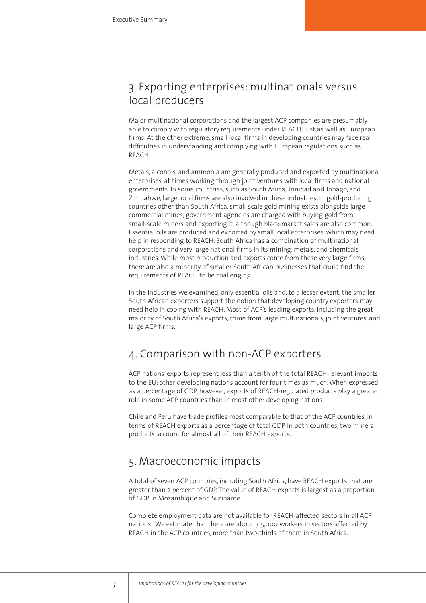# 3. Exporting enterprises: multinationals versus local producers

Major multinational corporations and the largest ACP companies are presumably able to comply with regulatory requirements under REACH, just as well as European firms. At the other extreme, small local firms in developing countries may face real difficulties in understanding and complying with European regulations such as REACH.

Metals, alcohols, and ammonia are generally produced and exported by multinational enterprises, at times working through joint ventures with local firms and national governments. In some countries, such as South Africa, Trinidad and Tobago, and Zimbabwe, large local firms are also involved in these industries. In gold-producing countries other than South Africa, small-scale gold mining exists alongside large commercial mines; government agencies are charged with buying gold from small-scale miners and exporting it, although black-market sales are also common. Essential oils are produced and exported by small local enterprises, which may need help in responding to REACH. South Africa has a combination of multinational corporations and very large national firms in its mining, metals, and chemicals industries. While most production and exports come from these very large firms, there are also a minority of smaller South African businesses that could find the requirements of REACH to be challenging.

In the industries we examined, only essential oils and, to a lesser extent, the smaller South African exporters support the notion that developing country exporters may need help in coping with REACH. Most of ACP's leading exports, including the great majority of South Africa's exports, come from large multinationals, joint ventures, and large ACP firms.

# 4. Comparison with non-ACP exporters

ACP nations' exports represent less than a tenth of the total REACH-relevant imports to the EU; other developing nations account for four times as much. When expressed as a percentage of GDP, however, exports of REACH-regulated products play a greater role in some ACP countries than in most other developing nations.

Chile and Peru have trade profiles most comparable to that of the ACP countries, in terms of REACH exports as a percentage of total GDP. In both countries, two mineral products account for almost all of their REACH exports.

# 5. Macroeconomic impacts

A total of seven ACP countries, including South Africa, have REACH exports that are greater than 2 percent of GDP. The value of REACH exports is largest as a proportion of GDP in Mozambique and Suriname.

Complete employment data are not available for REACH-affected sectors in all ACP nations. We estimate that there are about 315,000 workers in sectors affected by REACH in the ACP countries, more than two-thirds of them in South Africa.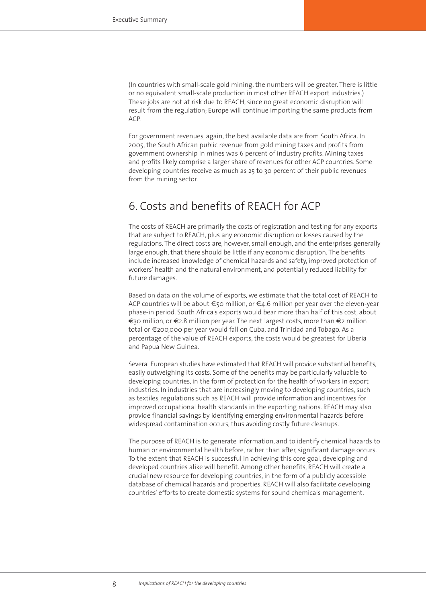(In countries with small-scale gold mining, the numbers will be greater. There is little or no equivalent small-scale production in most other REACH export industries.) These jobs are not at risk due to REACH, since no great economic disruption will result from the regulation; Europe will continue importing the same products from ACP.

For government revenues, again, the best available data are from South Africa. In 2005, the South African public revenue from gold mining taxes and profits from government ownership in mines was 6 percent of industry profits. Mining taxes and profits likely comprise a larger share of revenues for other ACP countries. Some developing countries receive as much as 25 to 30 percent of their public revenues from the mining sector.

# 6. Costs and benefits of REACH for ACP

The costs of REACH are primarily the costs of registration and testing for any exports that are subject to REACH, plus any economic disruption or losses caused by the regulations. The direct costs are, however, small enough, and the enterprises generally large enough, that there should be little if any economic disruption. The benefits include increased knowledge of chemical hazards and safety, improved protection of workers' health and the natural environment, and potentially reduced liability for future damages.

Based on data on the volume of exports, we estimate that the total cost of REACH to ACP countries will be about €50 million, or €4.6 million per year over the eleven-year phase-in period. South Africa's exports would bear more than half of this cost, about €30 million, or €2.8 million per year. The next largest costs, more than €2 million total or €200,000 per year would fall on Cuba, and Trinidad and Tobago. As a percentage of the value of REACH exports, the costs would be greatest for Liberia and Papua New Guinea.

Several European studies have estimated that REACH will provide substantial benefits, easily outweighing its costs. Some of the benefits may be particularly valuable to developing countries, in the form of protection for the health of workers in export industries. In industries that are increasingly moving to developing countries, such as textiles, regulations such as REACH will provide information and incentives for improved occupational health standards in the exporting nations. REACH may also provide financial savings by identifying emerging environmental hazards before widespread contamination occurs, thus avoiding costly future cleanups.

The purpose of REACH is to generate information, and to identify chemical hazards to human or environmental health before, rather than after, significant damage occurs. To the extent that REACH is successful in achieving this core goal, developing and developed countries alike will benefit. Among other benefits, REACH will create a crucial new resource for developing countries, in the form of a publicly accessible database of chemical hazards and properties. REACH will also facilitate developing countries' efforts to create domestic systems for sound chemicals management.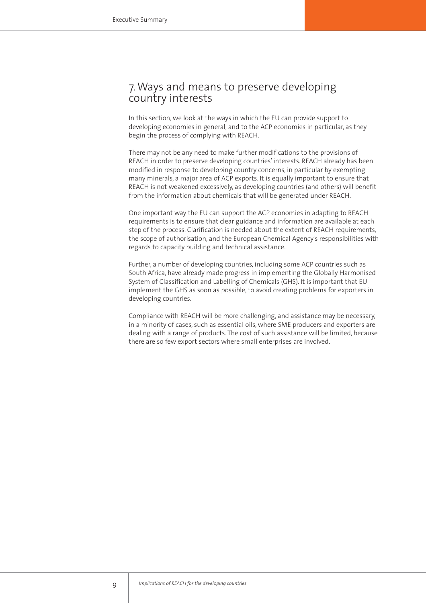# 7.Ways and means to preserve developing country interests

In this section, we look at the ways in which the EU can provide support to developing economies in general, and to the ACP economies in particular, as they begin the process of complying with REACH.

There may not be any need to make further modifications to the provisions of REACH in order to preserve developing countries' interests. REACH already has been modified in response to developing country concerns, in particular by exempting many minerals, a major area of ACP exports. It is equally important to ensure that REACH is not weakened excessively, as developing countries (and others) will benefit from the information about chemicals that will be generated under REACH.

One important way the EU can support the ACP economies in adapting to REACH requirements is to ensure that clear guidance and information are available at each step of the process. Clarification is needed about the extent of REACH requirements, the scope of authorisation, and the European Chemical Agency's responsibilities with regards to capacity building and technical assistance.

Further, a number of developing countries, including some ACP countries such as South Africa, have already made progress in implementing the Globally Harmonised System of Classification and Labelling of Chemicals (GHS). It is important that EU implement the GHS as soon as possible, to avoid creating problems for exporters in developing countries.

Compliance with REACH will be more challenging, and assistance may be necessary, in a minority of cases, such as essential oils, where SME producers and exporters are dealing with a range of products. The cost of such assistance will be limited, because there are so few export sectors where small enterprises are involved.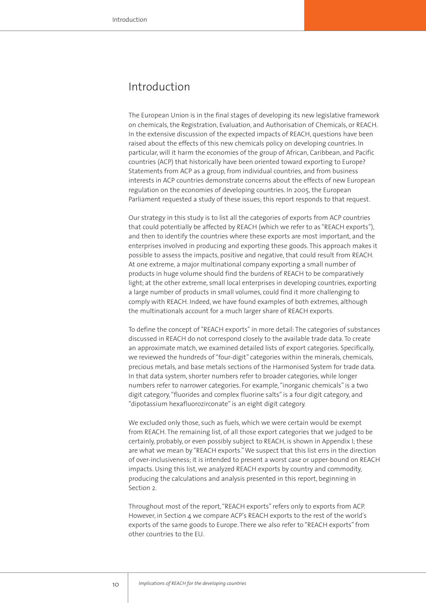# Introduction

The European Union is in the final stages of developing its new legislative framework on chemicals, the Registration, Evaluation, and Authorisation of Chemicals, or REACH. In the extensive discussion of the expected impacts of REACH, questions have been raised about the effects of this new chemicals policy on developing countries. In particular, will it harm the economies of the group of African, Caribbean, and Pacific countries (ACP) that historically have been oriented toward exporting to Europe? Statements from ACP as a group, from individual countries, and from business interests in ACP countries demonstrate concerns about the effects of new European regulation on the economies of developing countries. In 2005, the European Parliament requested a study of these issues; this report responds to that request.

Our strategy in this study is to list all the categories of exports from ACP countries that could potentially be affected by REACH (which we refer to as "REACH exports"), and then to identify the countries where these exports are most important, and the enterprises involved in producing and exporting these goods. This approach makes it possible to assess the impacts, positive and negative, that could result from REACH. At one extreme, a major multinational company exporting a small number of products in huge volume should find the burdens of REACH to be comparatively light; at the other extreme, small local enterprises in developing countries, exporting a large number of products in small volumes, could find it more challenging to comply with REACH. Indeed, we have found examples of both extremes, although the multinationals account for a much larger share of REACH exports.

To define the concept of "REACH exports" in more detail: The categories of substances discussed in REACH do not correspond closely to the available trade data. To create an approximate match, we examined detailed lists of export categories. Specifically, we reviewed the hundreds of "four-digit" categories within the minerals, chemicals, precious metals, and base metals sections of the Harmonised System for trade data. In that data system, shorter numbers refer to broader categories, while longer numbers refer to narrower categories. For example, "inorganic chemicals" is a two digit category, "fluorides and complex fluorine salts" is a four digit category, and "dipotassium hexafluorozirconate" is an eight digit category.

We excluded only those, such as fuels, which we were certain would be exempt from REACH. The remaining list, of all those export categories that we judged to be certainly, probably, or even possibly subject to REACH, is shown in Appendix I; these are what we mean by "REACH exports." We suspect that this list errs in the direction of over-inclusiveness; it is intended to present a worst case or upper-bound on REACH impacts. Using this list, we analyzed REACH exports by country and commodity, producing the calculations and analysis presented in this report, beginning in Section 2.

Throughout most of the report, "REACH exports" refers only to exports from ACP. However, in Section 4 we compare ACP's REACH exports to the rest of the world's exports of the same goods to Europe. There we also refer to "REACH exports" from other countries to the EU.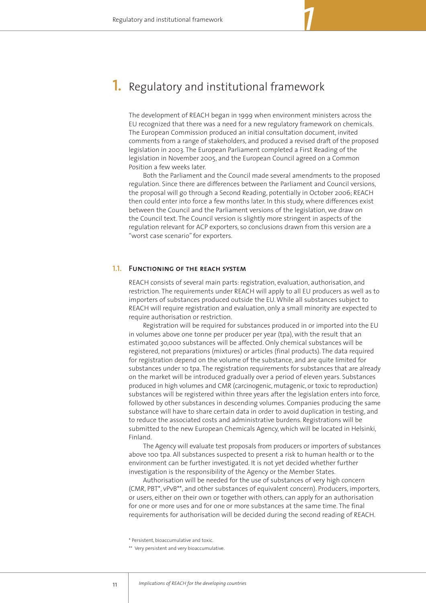# 1. Regulatory and institutional framework

The development of REACH began in 1999 when environment ministers across the EU recognized that there was a need for a new regulatory framework on chemicals. The European Commission produced an initial consultation document, invited comments from a range of stakeholders, and produced a revised draft of the proposed legislation in 2003. The European Parliament completed a First Reading of the legislation in November 2005, and the European Council agreed on a Common Position a few weeks later.

*1*

Both the Parliament and the Council made several amendments to the proposed regulation. Since there are differences between the Parliament and Council versions, the proposal will go through a Second Reading, potentially in October 2006; REACH then could enter into force a few months later. In this study, where differences exist between the Council and the Parliament versions of the legislation, we draw on the Council text. The Council version is slightly more stringent in aspects of the regulation relevant for ACP exporters, so conclusions drawn from this version are a "worst case scenario" for exporters.

### **Functioning of the reach system 1.1.**

REACH consists of several main parts: registration, evaluation, authorisation, and restriction. The requirements under REACH will apply to all EU producers as well as to importers of substances produced outside the EU. While all substances subject to REACH will require registration and evaluation, only a small minority are expected to require authorisation or restriction.

Registration will be required for substances produced in or imported into the EU in volumes above one tonne per producer per year (tpa), with the result that an estimated 30,000 substances will be affected. Only chemical substances will be registered, not preparations (mixtures) or articles (final products). The data required for registration depend on the volume of the substance, and are quite limited for substances under 10 tpa. The registration requirements for substances that are already on the market will be introduced gradually over a period of eleven years. Substances produced in high volumes and CMR (carcinogenic, mutagenic, or toxic to reproduction) substances will be registered within three years after the legislation enters into force, followed by other substances in descending volumes. Companies producing the same substance will have to share certain data in order to avoid duplication in testing, and to reduce the associated costs and administrative burdens. Registrations will be submitted to the new European Chemicals Agency, which will be located in Helsinki, Finland.

The Agency will evaluate test proposals from producers or importers of substances above 100 tpa. All substances suspected to present a risk to human health or to the environment can be further investigated. It is not yet decided whether further investigation is the responsibility of the Agency or the Member States.

Authorisation will be needed for the use of substances of very high concern (CMR, PBT\*, vPvB\*\*, and other substances of equivalent concern). Producers, importers, or users, either on their own or together with others, can apply for an authorisation for one or more uses and for one or more substances at the same time. The final requirements for authorisation will be decided during the second reading of REACH.

\* Persistent, bioaccumulative and toxic.

\*\* Very persistent and very bioaccumulative.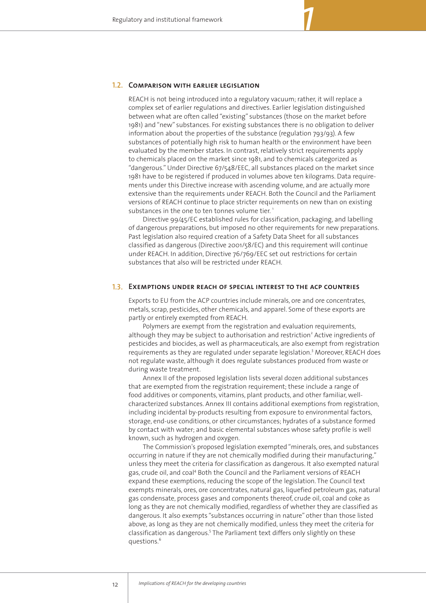### **1.2. Comparison with earlier legislation**

REACH is not being introduced into a regulatory vacuum; rather, it will replace a complex set of earlier regulations and directives. Earlier legislation distinguished between what are often called "existing" substances (those on the market before 1981) and "new" substances. For existing substances there is no obligation to deliver information about the properties of the substance (regulation 793/93). A few substances of potentially high risk to human health or the environment have been evaluated by the member states. In contrast, relatively strict requirements apply to chemicals placed on the market since 1981, and to chemicals categorized as "dangerous." Under Directive 67/548/EEC, all substances placed on the market since 1981 have to be registered if produced in volumes above ten kilograms. Data requirements under this Directive increase with ascending volume, and are actually more extensive than the requirements under REACH. Both the Council and the Parliament versions of REACH continue to place stricter requirements on new than on existing substances in the one to ten tonnes volume tier.<sup>1</sup>

*1*

Directive 99/45/EC established rules for classification, packaging, and labelling of dangerous preparations, but imposed no other requirements for new preparations. Past legislation also required creation of a Safety Data Sheet for all substances classified as dangerous (Directive 2001/58/EC) and this requirement will continue under REACH. In addition, Directive 76/769/EEC set out restrictions for certain substances that also will be restricted under REACH.

### **Exemptions under reach of special interest to the acp countries 1.3.**

Exports to EU from the ACP countries include minerals, ore and ore concentrates, metals, scrap, pesticides, other chemicals, and apparel. Some of these exports are partly or entirely exempted from REACH.

Polymers are exempt from the registration and evaluation requirements, although they may be subject to authorisation and restriction<sup>2</sup> Active ingredients of pesticides and biocides, as well as pharmaceuticals, are also exempt from registration requirements as they are regulated under separate legislation.<sup>3</sup> Moreover, REACH does not regulate waste, although it does regulate substances produced from waste or during waste treatment.

Annex II of the proposed legislation lists several dozen additional substances that are exempted from the registration requirement; these include a range of food additives or components, vitamins, plant products, and other familiar, wellcharacterized substances. Annex III contains additional exemptions from registration, including incidental by-products resulting from exposure to environmental factors, storage, end-use conditions, or other circumstances; hydrates of a substance formed by contact with water; and basic elemental substances whose safety profile is well known, such as hydrogen and oxygen.

The Commission's proposed legislation exempted "minerals, ores, and substances occurring in nature if they are not chemically modified during their manufacturing," unless they meet the criteria for classification as dangerous. It also exempted natural gas, crude oil, and coal<sup>4</sup> Both the Council and the Parliament versions of REACH expand these exemptions, reducing the scope of the legislation. The Council text exempts minerals, ores, ore concentrates, natural gas, liquefied petroleum gas, natural gas condensate, process gases and components thereof, crude oil, coal and coke as long as they are not chemically modified, regardless of whether they are classified as dangerous. It also exempts "substances occurring in nature" other than those listed above, as long as they are not chemically modified, unless they meet the criteria for classification as dangerous.<sup>5</sup> The Parliament text differs only slightly on these questions.<sup>6</sup>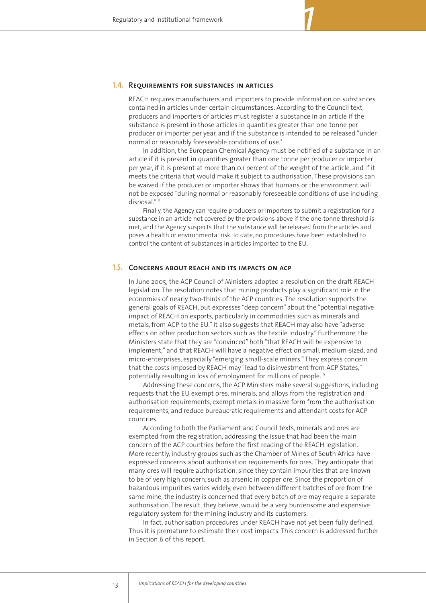### **1.4. REQUIREMENTS FOR SUBSTANCES IN ARTICLES**

REACH requires manufacturers and importers to provide information on substances contained in articles under certain circumstances. According to the Council text, producers and importers of articles must register a substance in an article if the substance is present in those articles in quantities greater than one tonne per producer or importer per year, and if the substance is intended to be released "under normal or reasonably foreseeable conditions of use.7

In addition, the European Chemical Agency must be notified of a substance in an article if it is present in quantities greater than one tonne per producer or importer per year, if it is present at more than 0.1 percent of the weight of the article, and if it meets the criteria that would make it subject to authorisation. These provisions can be waived if the producer or importer shows that humans or the environment will not be exposed "during normal or reasonably foreseeable conditions of use including disposal." <sup>8</sup>

Finally, the Agency can require producers or importers to submit a registration for a substance in an article not covered by the provisions above if the one-tonne threshold is met, and the Agency suspects that the substance will be released from the articles and poses a health or environmental risk. To date, no procedures have been established to control the content of substances in articles imported to the EU.

# **1.5. CONCERNS ABOUT REACH AND ITS IMPACTS ON ACP**

In June 2005, the ACP Council of Ministers adopted a resolution on the draft REACH legislation. The resolution notes that mining products play a significant role in the economies of nearly two-thirds of the ACP countries. The resolution supports the general goals of REACH, but expresses "deep concern" about the "potential negative impact of REACH on exports, particularly in commodities such as minerals and metals, from ACP to the EU." It also suggests that REACH may also have "adverse effects on other production sectors such as the textile industry." Furthermore, the Ministers state that they are "convinced" both "that REACH will be expensive to implement," and that REACH will have a negative effect on small, medium-sized, and micro-enterprises, especially "emerging small-scale miners." They express concern that the costs imposed by REACH may "lead to disinvestment from ACP States," potentially resulting in loss of employment for millions of people. <sup>9</sup>

Addressing these concerns, the ACP Ministers make several suggestions, including requests that the EU exempt ores, minerals, and alloys from the registration and authorisation requirements, exempt metals in massive form from the authorisation requirements, and reduce bureaucratic requirements and attendant costs for ACP countries.

According to both the Parliament and Council texts, minerals and ores are exempted from the registration, addressing the issue that had been the main concern of the ACP countries before the first reading of the REACH legislation. More recently, industry groups such as the Chamber of Mines of South Africa have expressed concerns about authorisation requirements for ores. They anticipate that many ores will require authorisation, since they contain impurities that are known to be of very high concern, such as arsenic in copper ore. Since the proportion of hazardous impurities varies widely, even between different batches of ore from the same mine, the industry is concerned that every batch of ore may require a separate authorisation. The result, they believe, would be a very burdensome and expensive regulatory system for the mining industry and its customers.

In fact, authorisation procedures under REACH have not yet been fully defined. Thus it is premature to estimate their cost impacts. This concern is addressed further in Section 6 of this report.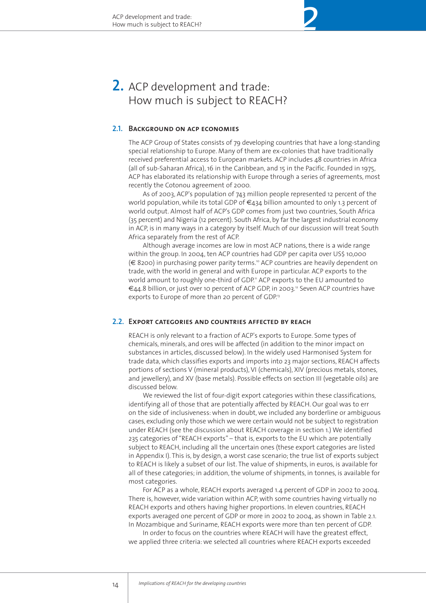# 2. ACP development and trade: How much is subject to REACH?

## **Background on acp economies 2.1.**

The ACP Group of States consists of 79 developing countries that have a long-standing special relationship to Europe. Many of them are ex-colonies that have traditionally received preferential access to European markets. ACP includes 48 countries in Africa (all of sub-Saharan Africa), 16 in the Caribbean, and 15 in the Pacific. Founded in 1975, ACP has elaborated its relationship with Europe through a series of agreements, most recently the Cotonou agreement of 2000.

*2*

As of 2003, ACP's population of 743 million people represented 12 percent of the world population, while its total GDP of  $\epsilon_{434}$  billion amounted to only 1.3 percent of world output. Almost half of ACP's GDP comes from just two countries, South Africa (35 percent) and Nigeria (12 percent). South Africa, by far the largest industrial economy in ACP, is in many ways in a category by itself. Much of our discussion will treat South Africa separately from the rest of ACP.

Although average incomes are low in most ACP nations, there is a wide range within the group. In 2004, ten ACP countries had GDP per capita over US\$ 10,000  $(\epsilon$  8200) in purchasing power parity terms.<sup>10</sup> ACP countries are heavily dependent on trade, with the world in general and with Europe in particular. ACP exports to the world amount to roughly one-third of GDP." ACP exports to the EU amounted to €44.8 billion, or just over 10 percent of ACP GDP, in 2003.12 Seven ACP countries have exports to Europe of more than 20 percent of GDP.<sup>13</sup>

## **Export categories and countries affected by reach 2.2.**

REACH is only relevant to a fraction of ACP's exports to Europe. Some types of chemicals, minerals, and ores will be affected (in addition to the minor impact on substances in articles, discussed below). In the widely used Harmonised System for trade data, which classifies exports and imports into 23 major sections, REACH affects portions of sections V (mineral products), VI (chemicals), XIV (precious metals, stones, and jewellery), and XV (base metals). Possible effects on section III (vegetable oils) are discussed below.

We reviewed the list of four-digit export categories within these classifications, identifying all of those that are potentially affected by REACH. Our goal was to err on the side of inclusiveness: when in doubt, we included any borderline or ambiguous cases, excluding only those which we were certain would not be subject to registration under REACH (see the discussion about REACH coverage in section 1.) We identified 235 categories of "REACH exports" – that is, exports to the EU which are potentially subject to REACH, including all the uncertain ones (these export categories are listed in Appendix I). This is, by design, a worst case scenario; the true list of exports subject to REACH is likely a subset of our list. The value of shipments, in euros, is available for all of these categories; in addition, the volume of shipments, in tonnes, is available for most categories.

For ACP as a whole, REACH exports averaged 1.4 percent of GDP in 2002 to 2004. There is, however, wide variation within ACP, with some countries having virtually no REACH exports and others having higher proportions. In eleven countries, REACH exports averaged one percent of GDP or more in 2002 to 2004, as shown in Table 2.1. In Mozambique and Suriname, REACH exports were more than ten percent of GDP.

In order to focus on the countries where REACH will have the greatest effect, we applied three criteria: we selected all countries where REACH exports exceeded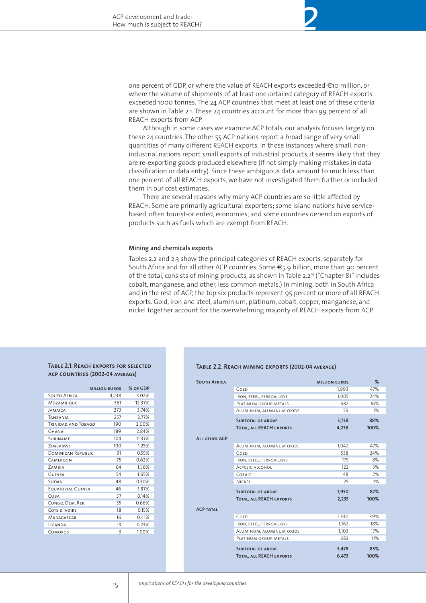one percent of GDP, or where the value of REACH exports exceeded €10 million, or where the volume of shipments of at least one detailed category of REACH exports exceeded 1000 tonnes. The 24 ACP countries that meet at least one of these criteria are shown in Table 2.1. These 24 countries account for more than 99 percent of all REACH exports from ACP.

*2*

Although in some cases we examine ACP totals, our analysis focuses largely on these 24 countries. The other 55 ACP nations report a broad range of very small quantities of many different REACH exports. In those instances where small, nonindustrial nations report small exports of industrial products, it seems likely that they are re-exporting goods produced elsewhere (if not simply making mistakes in data classification or data entry). Since these ambiguous data amount to much less than one percent of all REACH exports, we have not investigated them further or included them in our cost estimates.

There are several reasons why many ACP countries are so little affected by REACH. Some are primarily agricultural exporters; some island nations have servicebased, often tourist-oriented, economies; and some countries depend on exports of products such as fuels which are exempt from REACH.

#### **Mining and chemicals exports**

Tables 2.2 and 2.3 show the principal categories of REACH exports, separately for South Africa and for all other ACP countries. Some €5.9 billion, more than 90 percent of the total, consists of mining products, as shown in Table 2.2<sup>14</sup> ("Chapter 81" includes cobalt, manganese, and other, less common metals.) In mining, both in South Africa and in the rest of ACP, the top six products represent 95 percent or more of all REACH exports. Gold, iron and steel, aluminium, platinum, cobalt, copper, manganese, and nickel together account for the overwhelming majority of REACH exports from ACP.

#### **Table 2.1. Reach exports for selected acp countries (2002-04 average)**

|                            | <b>MILLION EUROS</b> | % OF GDP |
|----------------------------|----------------------|----------|
| <b>SOUTH AFRICA</b>        | 4,238                | 3.02%    |
| MOZAMBIQUE                 | 561                  | 12.37%   |
| <b>JAMAICA</b>             | 273                  | 3.74%    |
| <b>TANZANIA</b>            | 257                  | 2.77%    |
| <b>TRINIDAD AND TOBAGO</b> | 190                  | 2.00%    |
| <b>GHANA</b>               | 189                  | 284%     |
| <b>SURINAME</b>            | 104                  | 11.37%   |
| ZIMBABWE                   | 100                  | 1.25%    |
| <b>DOMINICAN REPUBLIC</b>  | 91                   | 0.55%    |
| CAMEROON                   | 75                   | 0.62%    |
| ZAMBIA                     | 64                   | 1.56%    |
| <b>GUINEA</b>              | 54                   | 1.65%    |
| <b>SUDAN</b>               | 48                   | 0.30%    |
| EQUATORIAL GUINEA          | 46                   | 1.87%    |
| CUBA                       | 37                   | 0.14%    |
| CONGO, DEM. REP.           | 35                   | 0.66%    |
| COTE D'IVOIRE              | 18                   | 0.15%    |
| MADAGASCAR                 | 16                   | 0.41%    |
| UGANDA                     | 13                   | 0.23%    |
| COMOROS                    | 3                    | 1.00%    |

#### **Table 2.2. Reach mining exports (2002-04 average)**

| <b>SOUTH AFRICA</b>  |                                 | <b>MILLION EUROS</b> | %    |
|----------------------|---------------------------------|----------------------|------|
|                      | GOLD                            | 1,993                | 47%  |
|                      | <b>IRON, STEEL, FERROALLOYS</b> | 1.005                | 24%  |
|                      | PLATINUM GROUP METALS           | 682                  | 16%  |
|                      | ALUMINUM, ALUMINUM OXIDE        | 59                   | 1%   |
|                      | <b>SUBTOTAL OF ABOVE</b>        | 3,738                | 88%  |
|                      | <b>TOTAL, ALL REACH EXPORTS</b> | 4,238                | 100% |
| <b>ALL OTHER ACP</b> |                                 |                      |      |
|                      | ALUMINUM, ALUMINUM OXIDE        | 1,042                | 47%  |
|                      | GOLD                            | 538                  | 24%  |
|                      | IRON, STEEL, FERROALLOYS        | 175                  | 8%   |
|                      | <b>ACYCLIC ALCOHOL</b>          | 122                  | 5%   |
|                      | COBAIT                          | 48                   | 2%   |
|                      | <b>NICKEL</b>                   | 25                   | 1%   |
|                      |                                 |                      |      |
|                      | <b>SUBTOTAL OF ABOVE</b>        | 1,950                | 87%  |
|                      | <b>TOTAL, ALL REACH EXPORTS</b> | 2,235                | 100% |
| <b>ACP TOTAL</b>     |                                 |                      |      |
|                      | GOLD                            | 2,530                | 39%  |
|                      | <b>IRON, STEEL, FERROALLOYS</b> | 1,162                | 18%  |
|                      | ALUMINUM, ALUMINUM OXIDE        | 1,103                | 17%  |
|                      | PLATINUM GROUP METALS           | 682                  | 11%  |
|                      |                                 |                      |      |
|                      | <b>SUBTOTAL OF ABOVE</b>        | 5,478                | 85%  |
|                      | <b>TOTAL, ALL REACH EXPORTS</b> | 6,473                | 100% |
|                      |                                 |                      |      |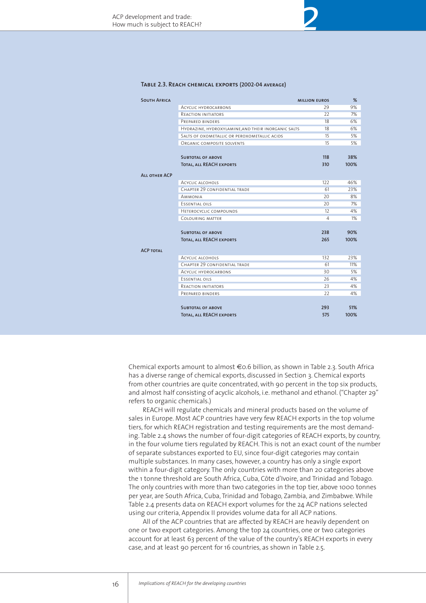#### **Table 2.3. Reach chemical exports (2002-04 average)**

| <b>SOUTH AFRICA</b>  |                                                     | <b>MILLION EUROS</b> | %     |
|----------------------|-----------------------------------------------------|----------------------|-------|
|                      | ACYCLIC HYDROCARBONS                                | 29                   | 9%    |
|                      | <b>REACTION INITIATORS</b>                          | 22                   | 7%    |
|                      | PREPARED BINDERS                                    | 18                   | 6%    |
|                      | HYDRAZINE, HYDROXYLAMINE, AND THEIR INORGANIC SALTS | 18                   | 6%    |
|                      | SALTS OF OXOMETALLIC OR PEROXOMETALLIC ACIDS        | 15                   | 5%    |
|                      | ORGANIC COMPOSITE SOLVENTS                          | 15                   | 5%    |
|                      |                                                     |                      |       |
|                      | <b>SUBTOTAL OF ABOVE</b>                            | 118                  | 38%   |
|                      | <b>TOTAL, ALL REACH EXPORTS</b>                     | 310                  | 100%  |
| <b>ALL OTHER ACP</b> |                                                     |                      |       |
|                      | <b>ACYCLIC ALCOHOLS</b>                             | 122                  | 46%   |
|                      | CHAPTER 29 CONFIDENTIAL TRADE                       | 61                   | 23%   |
|                      | <b>AMMONIA</b>                                      | 20                   | 8%    |
|                      | <b>ESSENTIAL OILS</b>                               | 20                   | 7%    |
|                      | HETEROCYCLIC COMPOUNDS                              | 12                   | 4%    |
|                      | COLOURING MATTER                                    | 4                    | $1\%$ |
|                      |                                                     |                      |       |
|                      | <b>SUBTOTAL OF ABOVE</b>                            | 238                  | 90%   |
|                      | <b>TOTAL, ALL REACH EXPORTS</b>                     | 265                  | 100%  |
|                      |                                                     |                      |       |
| <b>ACP TOTAL</b>     |                                                     |                      |       |
|                      | <b>ACYCLIC ALCOHOLS</b>                             | 132                  | 23%   |
|                      | CHAPTER 29 CONFIDENTIAL TRADE                       | 61                   | 11%   |
|                      | <b>ACYCLIC HYDROCARBONS</b>                         | 30                   | 5%    |
|                      | ESSENTIAL OILS                                      | 26                   | 4%    |
|                      | <b>REACTION INITIATORS</b>                          | 23                   | 4%    |
|                      | PREPARED BINDERS                                    | 22                   | 4%    |
|                      |                                                     |                      |       |
|                      | <b>SUBTOTAL OF ABOVE</b>                            | 293                  | 51%   |
|                      | <b>TOTAL, ALL REACH EXPORTS</b>                     | 575                  | 100%  |

*2*

Chemical exports amount to almost €0.6 billion, as shown in Table 2.3. South Africa has a diverse range of chemical exports, discussed in Section 3. Chemical exports from other countries are quite concentrated, with 90 percent in the top six products, and almost half consisting of acyclic alcohols, i.e. methanol and ethanol. ("Chapter 29" refers to organic chemicals.)

REACH will regulate chemicals and mineral products based on the volume of sales in Europe. Most ACP countries have very few REACH exports in the top volume tiers, for which REACH registration and testing requirements are the most demanding. Table 2.4 shows the number of four-digit categories of REACH exports, by country, in the four volume tiers regulated by REACH. This is not an exact count of the number of separate substances exported to EU, since four-digit categories may contain multiple substances. In many cases, however, a country has only a single export within a four-digit category. The only countries with more than 20 categories above the 1 tonne threshold are South Africa, Cuba, Côte d'Ivoire, and Trinidad and Tobago. The only countries with more than two categories in the top tier, above 1000 tonnes per year, are South Africa, Cuba, Trinidad and Tobago, Zambia, and Zimbabwe. While Table 2.4 presents data on REACH export volumes for the 24 ACP nations selected using our criteria, Appendix II provides volume data for all ACP nations.

All of the ACP countries that are affected by REACH are heavily dependent on one or two export categories. Among the top 24 countries, one or two categories account for at least 63 percent of the value of the country's REACH exports in every case, and at least 90 percent for 16 countries, as shown in Table 2.5.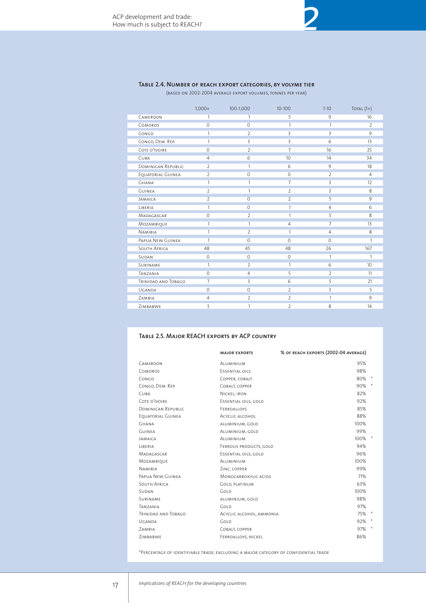# **Table 2.4. Number of reach export categories, by volyme tier**

(based on 2002-2004 average export volumes, tonnes per year)

|                           | $1,000+$       | 100-1,000      | $10 - 100$     | $1-10$         | TOTAL $(1+)$   |
|---------------------------|----------------|----------------|----------------|----------------|----------------|
| CAMEROON                  | 1              | 1              | 5              | 9              | 16             |
| COMOROS                   | 0              | $\Omega$       | 1              | 1              | $\overline{2}$ |
| CONGO                     | 1              | $\overline{2}$ | 3              | $\overline{3}$ | 9              |
| CONGO, DEM. REP.          | 1              | 3              | 3              | 6              | 13             |
| COTE D'IVOIRE             | 0              | $\overline{2}$ | 7              | 16             | 25             |
| CUBA                      | $\overline{4}$ | 6              | 10             | 14             | 34             |
| <b>DOMINICAN REPUBLIC</b> | $\overline{2}$ | 1              | 6              | $\overline{9}$ | 18             |
| EQUATORIAL GUINEA         | $\overline{2}$ | $\mathbf 0$    | $\mathbf{0}$   | $\overline{2}$ | $\overline{4}$ |
| <b>GHANA</b>              | 1              | 1              | $\overline{7}$ | $\overline{3}$ | 12             |
| <b>GUINEA</b>             | $\overline{2}$ | 1              | $\overline{2}$ | $\overline{3}$ | 8              |
| <b>JAMAICA</b>            | $\overline{2}$ | $\mathbf 0$    | $\overline{2}$ | $\overline{5}$ | 9              |
| LIBERIA                   | 1              | $\Omega$       | 1              | $\overline{4}$ | 6              |
| MADAGASCAR                | $\Omega$       | 2              | 1              | 5              | 8              |
| MOZAMBIQUE                | 1              | 1              | $\overline{4}$ | $\overline{7}$ | 13             |
| <b>NAMIBIA</b>            | 1              | $\overline{2}$ | 1              | 4              | 8              |
| PAPUA NEW GUINEA          | 1              | $\Omega$       | $\Omega$       | $\Omega$       | 1              |
| <b>SOUTH AFRICA</b>       | 48             | 45             | 48             | 26             | 167            |
| SUDAN                     | $\Omega$       | $\Omega$       | $\Omega$       | 1              | 1              |
| <b>SURINAME</b>           | 1              | $\overline{2}$ | 1              | 6              | 10             |
| TANZANIA                  | $\Omega$       | $\overline{4}$ | 5              | $\overline{2}$ | 11             |
| TRINIDAD AND TOBAGO       | 7              | 3              | 6              | 5              | 21             |
| UGANDA                    | 0              | $\mathbf{O}$   | $\overline{2}$ | $\overline{3}$ | 5              |
| ZAMBIA                    | 4              | $\overline{2}$ | $\overline{2}$ | 1              | 9              |
| ZIMBABWE                  | 3              | 1              | $\overline{2}$ | 8              | 14             |

#### **Table 2.5. Major REACH exports by ACP country**

|                            | <b>MAJOR EXPORTS</b>     | % OF REACH EXPORTS (2002-04 AVERAGE) |               |
|----------------------------|--------------------------|--------------------------------------|---------------|
| <b>CAMEROON</b>            | ALUMINIUM                | 95%                                  |               |
| <b>COMOROS</b>             | <b>FSSENTIAL OILS</b>    | 98%                                  |               |
| CONGO                      | COPPER, COBALT           | 80% *                                |               |
| CONGO, DEM. REP.           | COBALT, COPPER           | 90%                                  | $\rightarrow$ |
| <b>CUBA</b>                | NICKEL, IRON             | 82%                                  |               |
| COTE D'IVOIRE              | ESSENTIAL OILS, GOLD     | 92%                                  |               |
| <b>DOMINICAN REPUBLIC</b>  | FERROALLOYS              | 85%                                  |               |
| EOUATORIAL GUINEA          | ACYCLIC ALCOHOL          | 88%                                  |               |
| <b>GHANA</b>               | ALUMINIUM, GOLD          | 100%                                 |               |
| <b>GUINFA</b>              | ALUMINIUM, GOLD          | 99%                                  |               |
| <b>JAMAICA</b>             | <b>AIUMINIUM</b>         | $100\%$ *                            |               |
| LIBERIA                    | FERROUS PRODUCTS, GOLD   | 94%                                  |               |
| MADAGASCAR                 | ESSENTIAL OILS, GOLD     | 96%                                  |               |
| <b>MOZAMBIOUE</b>          | <b>AIUMINIUM</b>         | 100%                                 |               |
| <b>NAMIBIA</b>             | ZINC, COPPER             | 99%                                  |               |
| PAPUA NEW GUINEA           | MONOCARBOXYLIC ACIDS     | 71%                                  |               |
| <b>SOUTH AFRICA</b>        | <b>GOLD, PLATINUM</b>    | 63%                                  |               |
| <b>SUDAN</b>               | GOLD                     | 100%                                 |               |
| <b>SURINAME</b>            | ALUMINIUM, GOLD          | 98%                                  |               |
| TANZANIA                   | GOLD                     | 97%                                  |               |
| <b>TRINIDAD AND TOBAGO</b> | ACYCLIC ALCOHOL, AMMONIA | 75% *                                |               |
| UGANDA                     | GOLD                     | 92%                                  |               |
| ZAMBIA                     | COBALT, COPPER           | 97%                                  | $\cdot$       |
| ZIMBABWE                   | FERROALLOYS, NICKEL      | 86%                                  |               |

\*Percentage of identifiable trade, excluding a major category of confidential trade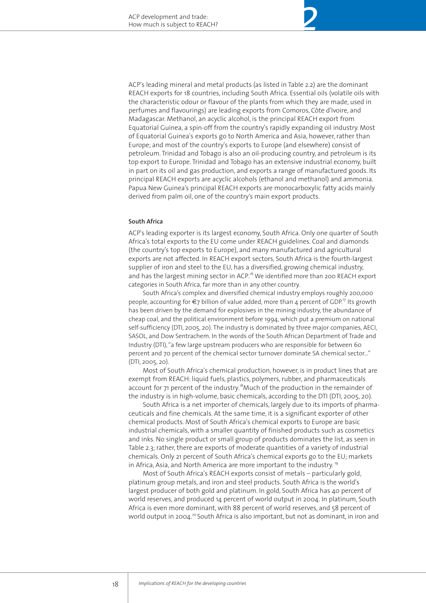ACP's leading mineral and metal products (as listed in Table 2.2) are the dominant REACH exports for 18 countries, including South Africa. Essential oils (volatile oils with the characteristic odour or flavour of the plants from which they are made, used in perfumes and flavourings) are leading exports from Comoros, Côte d'Ivoire, and Madagascar. Methanol, an acyclic alcohol, is the principal REACH export from Equatorial Guinea, a spin-off from the country's rapidly expanding oil industry. Most of Equatorial Guinea's exports go to North America and Asia, however, rather than Europe; and most of the country's exports to Europe (and elsewhere) consist of petroleum. Trinidad and Tobago is also an oil-producing country, and petroleum is its top export to Europe. Trinidad and Tobago has an extensive industrial economy, built in part on its oil and gas production, and exports a range of manufactured goods. Its principal REACH exports are acyclic alcohols (ethanol and methanol) and ammonia. Papua New Guinea's principal REACH exports are monocarboxylic fatty acids mainly derived from palm oil, one of the country's main export products.

#### **South Africa**

ACP's leading exporter is its largest economy, South Africa. Only one quarter of South Africa's total exports to the EU come under REACH guidelines. Coal and diamonds (the country's top exports to Europe), and many manufactured and agricultural exports are not affected. In REACH export sectors, South Africa is the fourth-largest supplier of iron and steel to the EU, has a diversified, growing chemical industry, and has the largest mining sector in ACP.<sup>16</sup> We identified more than 200 REACH export categories in South Africa, far more than in any other country.

South Africa's complex and diversified chemical industry employs roughly 200,000 people, accounting for €7 billion of value added, more than 4 percent of GDP.<sup>17</sup> Its growth has been driven by the demand for explosives in the mining industry, the abundance of cheap coal, and the political environment before 1994, which put a premium on national self-sufficiency (DTI, 2005, 20). The industry is dominated by three major companies, AECI, SASOL, and Dow Sentrachem. In the words of the South African Department of Trade and Industry (DTI), "a few large upstream producers who are responsible for between 60 percent and 70 percent of the chemical sector turnover dominate SA chemical sector..." (DTI, 2005, 20).

Most of South Africa's chemical production, however, is in product lines that are exempt from REACH: liquid fuels, plastics, polymers, rubber, and pharmaceuticals account for 71 percent of the industry.<sup>18</sup>Much of the production in the remainder of the industry is in high-volume, basic chemicals, according to the DTI (DTI, 2005, 20).

South Africa is a net importer of chemicals, largely due to its imports of pharmaceuticals and fine chemicals. At the same time, it is a significant exporter of other chemical products. Most of South Africa's chemical exports to Europe are basic industrial chemicals, with a smaller quantity of finished products such as cosmetics and inks. No single product or small group of products dominates the list, as seen in Table 2.3; rather, there are exports of moderate quantities of a variety of industrial chemicals. Only 21 percent of South Africa's chemical exports go to the EU; markets in Africa, Asia, and North America are more important to the industry.<sup>19</sup>

Most of South Africa's REACH exports consist of metals – particularly gold, platinum group metals, and iron and steel products. South Africa is the world's largest producer of both gold and platinum. In gold, South Africa has 40 percent of world reserves, and produced 14 percent of world output in 2004. In platinum, South Africa is even more dominant, with 88 percent of world reserves, and 58 percent of world output in 2004.<sup>20</sup> South Africa is also important, but not as dominant, in iron and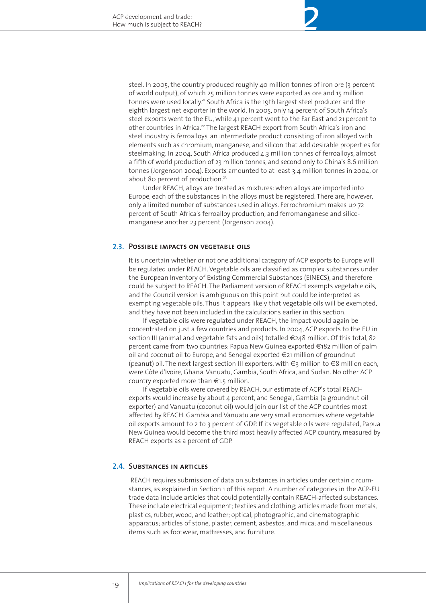steel. In 2005, the country produced roughly 40 million tonnes of iron ore (3 percent of world output), of which 25 million tonnes were exported as ore and 15 million tonnes were used locally.<sup>21</sup> South Africa is the 19th largest steel producer and the eighth largest net exporter in the world. In 2005, only 14 percent of South Africa's steel exports went to the EU, while 41 percent went to the Far East and 21 percent to other countries in Africa.<sup>22</sup> The largest REACH export from South Africa's iron and steel industry is ferroalloys, an intermediate product consisting of iron alloyed with elements such as chromium, manganese, and silicon that add desirable properties for steelmaking. In 2004, South Africa produced 4.3 million tonnes of ferroalloys, almost a fifth of world production of 23 million tonnes, and second only to China's 8.6 million tonnes (Jorgenson 2004). Exports amounted to at least 3.4 million tonnes in 2004, or about 80 percent of production.<sup>23</sup>

*2*

Under REACH, alloys are treated as mixtures: when alloys are imported into Europe, each of the substances in the alloys must be registered. There are, however, only a limited number of substances used in alloys. Ferrochromium makes up 72 percent of South Africa's ferroalloy production, and ferromanganese and silicomanganese another 23 percent (Jorgenson 2004).

### **Possible impacts on vegetable oils 2.3.**

It is uncertain whether or not one additional category of ACP exports to Europe will be regulated under REACH. Vegetable oils are classified as complex substances under the European Inventory of Existing Commercial Substances (EINECS), and therefore could be subject to REACH. The Parliament version of REACH exempts vegetable oils, and the Council version is ambiguous on this point but could be interpreted as exempting vegetable oils. Thus it appears likely that vegetable oils will be exempted, and they have not been included in the calculations earlier in this section.

If vegetable oils were regulated under REACH, the impact would again be concentrated on just a few countries and products. In 2004, ACP exports to the EU in section III (animal and vegetable fats and oils) totalled €248 million. Of this total, 82 percent came from two countries: Papua New Guinea exported €182 million of palm oil and coconut oil to Europe, and Senegal exported €21 million of groundnut (peanut) oil. The next largest section III exporters, with €3 million to €8 million each, were Côte d'Ivoire, Ghana, Vanuatu, Gambia, South Africa, and Sudan. No other ACP country exported more than €1.5 million.

If vegetable oils were covered by REACH, our estimate of ACP's total REACH exports would increase by about 4 percent, and Senegal, Gambia (a groundnut oil exporter) and Vanuatu (coconut oil) would join our list of the ACP countries most affected by REACH. Gambia and Vanuatu are very small economies where vegetable oil exports amount to 2 to 3 percent of GDP. If its vegetable oils were regulated, Papua New Guinea would become the third most heavily affected ACP country, measured by REACH exports as a percent of GDP.

# 2.4. SUBSTANCES IN ARTICLES

REACH requires submission of data on substances in articles under certain circumstances, as explained in Section 1 of this report. A number of categories in the ACP-EU trade data include articles that could potentially contain REACH-affected substances. These include electrical equipment; textiles and clothing; articles made from metals, plastics, rubber, wood, and leather; optical, photographic, and cinematographic apparatus; articles of stone, plaster, cement, asbestos, and mica; and miscellaneous items such as footwear, mattresses, and furniture.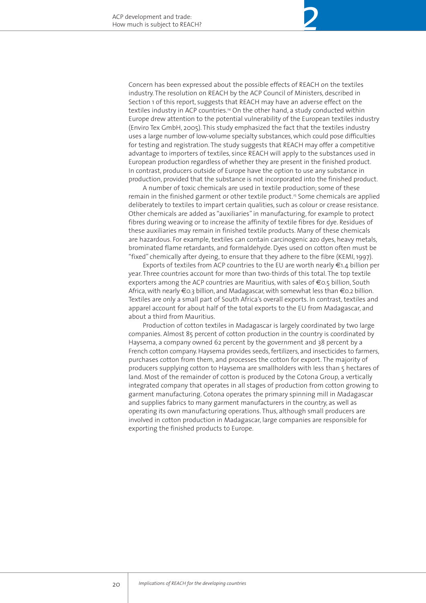Concern has been expressed about the possible effects of REACH on the textiles industry. The resolution on REACH by the ACP Council of Ministers, described in Section 1 of this report, suggests that REACH may have an adverse effect on the textiles industry in ACP countries.24 On the other hand, a study conducted within Europe drew attention to the potential vulnerability of the European textiles industry (Enviro Tex GmbH, 2005). This study emphasized the fact that the textiles industry uses a large number of low-volume specialty substances, which could pose difficulties for testing and registration. The study suggests that REACH may offer a competitive advantage to importers of textiles, since REACH will apply to the substances used in European production regardless of whether they are present in the finished product. In contrast, producers outside of Europe have the option to use any substance in production, provided that the substance is not incorporated into the finished product.

*2*

A number of toxic chemicals are used in textile production; some of these remain in the finished garment or other textile product.<sup>25</sup> Some chemicals are applied deliberately to textiles to impart certain qualities, such as colour or crease resistance. Other chemicals are added as "auxiliaries" in manufacturing, for example to protect fibres during weaving or to increase the affinity of textile fibres for dye. Residues of these auxiliaries may remain in finished textile products. Many of these chemicals are hazardous. For example, textiles can contain carcinogenic azo dyes, heavy metals, brominated flame retardants, and formaldehyde. Dyes used on cotton often must be "fixed" chemically after dyeing, to ensure that they adhere to the fibre (KEMI, 1997).

Exports of textiles from ACP countries to the EU are worth nearly €1.4 billion per year. Three countries account for more than two-thirds of this total. The top textile exporters among the ACP countries are Mauritius, with sales of €0.5 billion, South Africa, with nearly €0.3 billion, and Madagascar, with somewhat less than €0.2 billion. Textiles are only a small part of South Africa's overall exports. In contrast, textiles and apparel account for about half of the total exports to the EU from Madagascar, and about a third from Mauritius.

Production of cotton textiles in Madagascar is largely coordinated by two large companies. Almost 85 percent of cotton production in the country is coordinated by Haysema, a company owned 62 percent by the government and 38 percent by a French cotton company. Haysema provides seeds, fertilizers, and insecticides to farmers, purchases cotton from them, and processes the cotton for export. The majority of producers supplying cotton to Haysema are smallholders with less than 5 hectares of land. Most of the remainder of cotton is produced by the Cotona Group, a vertically integrated company that operates in all stages of production from cotton growing to garment manufacturing. Cotona operates the primary spinning mill in Madagascar and supplies fabrics to many garment manufacturers in the country, as well as operating its own manufacturing operations. Thus, although small producers are involved in cotton production in Madagascar, large companies are responsible for exporting the finished products to Europe.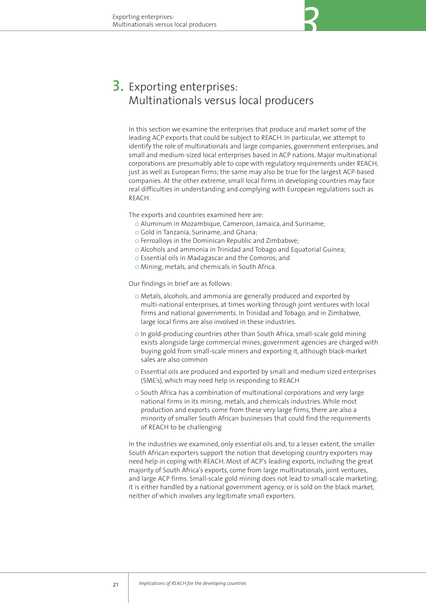# **3.** Exporting enterprises: Multinationals versus local producers

In this section we examine the enterprises that produce and market some of the leading ACP exports that could be subject to REACH. In particular, we attempt to identify the role of multinationals and large companies, government enterprises, and small and medium-sized local enterprises based in ACP nations. Major multinational corporations are presumably able to cope with regulatory requirements under REACH, just as well as European firms; the same may also be true for the largest ACP-based companies. At the other extreme, small local firms in developing countries may face real difficulties in understanding and complying with European regulations such as REACH.

The exports and countries examined here are:

- 0 Aluminum in Mozambique, Cameroon, Jamaica, and Suriname;
- 0 Gold in Tanzania, Suriname, and Ghana;
- 0 Ferroalloys in the Dominican Republic and Zimbabwe;
- 0 Alcohols and ammonia in Trinidad and Tobago and Equatorial Guinea;
- 0 Essential oils in Madagascar and the Comoros; and
- 0 Mining, metals, and chemicals in South Africa.

Our findings in brief are as follows:

- 0 Metals, alcohols, and ammonia are generally produced and exported by multi-national enterprises, at times working through joint ventures with local firms and national governments. In Trinidad and Tobago, and in Zimbabwe, large local firms are also involved in these industries.
- 0 In gold-producing countries other than South Africa, small-scale gold mining exists alongside large commercial mines; government agencies are charged with buying gold from small-scale miners and exporting it, although black-market sales are also common
- 0 Essential oils are produced and exported by small and medium sized enterprises (SME's), which may need help in responding to REACH
- 0 South Africa has a combination of multinational corporations and very large national firms in its mining, metals, and chemicals industries. While most production and exports come from these very large firms, there are also a minority of smaller South African businesses that could find the requirements of REACH to be challenging

In the industries we examined, only essential oils and, to a lesser extent, the smaller South African exporters support the notion that developing country exporters may need help in coping with REACH. Most of ACP's leading exports, including the great majority of South Africa's exports, come from large multinationals, joint ventures, and large ACP firms. Small-scale gold mining does not lead to small-scale marketing; it is either handled by a national government agency, or is sold on the black market, neither of which involves any legitimate small exporters.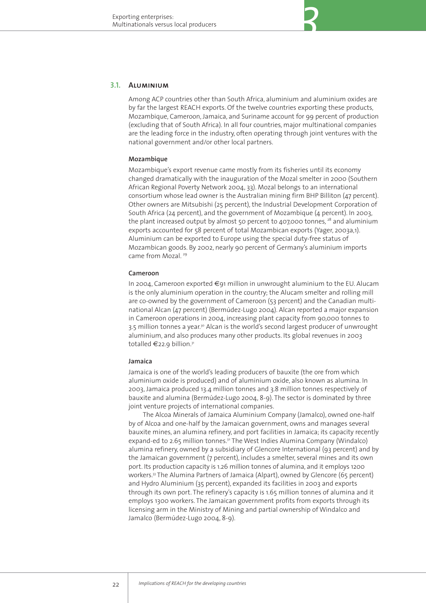### **Aluminium 3.1.**

Among ACP countries other than South Africa, aluminium and aluminium oxides are by far the largest REACH exports. Of the twelve countries exporting these products, Mozambique, Cameroon, Jamaica, and Suriname account for 99 percent of production (excluding that of South Africa). In all four countries, major multinational companies are the leading force in the industry, often operating through joint ventures with the national government and/or other local partners.

#### **Mozambique**

Mozambique's export revenue came mostly from its fisheries until its economy changed dramatically with the inauguration of the Mozal smelter in 2000 (Southern African Regional Poverty Network 2004, 33). Mozal belongs to an international consortium whose lead owner is the Australian mining firm BHP Billiton (47 percent). Other owners are Mitsubishi (25 percent), the Industrial Development Corporation of South Africa (24 percent), and the government of Mozambique (4 percent). In 2003, the plant increased output by almost 50 percent to  $407,000$  tonnes,  $^{28}$  and aluminium exports accounted for 58 percent of total Mozambican exports (Yager, 2003a,1). Aluminium can be exported to Europe using the special duty-free status of Mozambican goods. By 2002, nearly 90 percent of Germany's aluminium imports came from Mozal.<sup>29</sup>

#### **Cameroon**

In 2004, Cameroon exported €91 million in unwrought aluminium to the EU. Alucam is the only aluminium operation in the country; the Alucam smelter and rolling mill are co-owned by the government of Cameroon (53 percent) and the Canadian multinational Alcan (47 percent) (Bermúdez-Lugo 2004). Alcan reported a major expansion in Cameroon operations in 2004, increasing plant capacity from 90,000 tonnes to 3.5 million tonnes a year.30 Alcan is the world's second largest producer of unwrought aluminium, and also produces many other products. Its global revenues in 2003 totalled €22.9 billion.<sup>31</sup>

#### **Jamaica**

Jamaica is one of the world's leading producers of bauxite (the ore from which aluminium oxide is produced) and of aluminium oxide, also known as alumina. In 2003, Jamaica produced 13.4 million tonnes and 3.8 million tonnes respectively of bauxite and alumina (Bermúdez-Lugo 2004, 8-9). The sector is dominated by three joint venture projects of international companies.

The Alcoa Minerals of Jamaica Aluminium Company (Jamalco), owned one-half by of Alcoa and one-half by the Jamaican government, owns and manages several bauxite mines, an alumina refinery, and port facilities in Jamaica; its capacity recently expand-ed to 2.65 million tonnes.<sup>32</sup> The West Indies Alumina Company (Windalco) alumina refinery, owned by a subsidiary of Glencore International (93 percent) and by the Jamaican government (7 percent), includes a smelter, several mines and its own port. Its production capacity is 1.26 million tonnes of alumina, and it employs 1200 workers.33 The Alumina Partners of Jamaica (Alpart), owned by Glencore (65 percent) and Hydro Aluminium (35 percent), expanded its facilities in 2003 and exports through its own port. The refinery's capacity is 1.65 million tonnes of alumina and it employs 1300 workers. The Jamaican government profits from exports through its licensing arm in the Ministry of Mining and partial ownership of Windalco and Jamalco (Bermúdez-Lugo 2004, 8-9).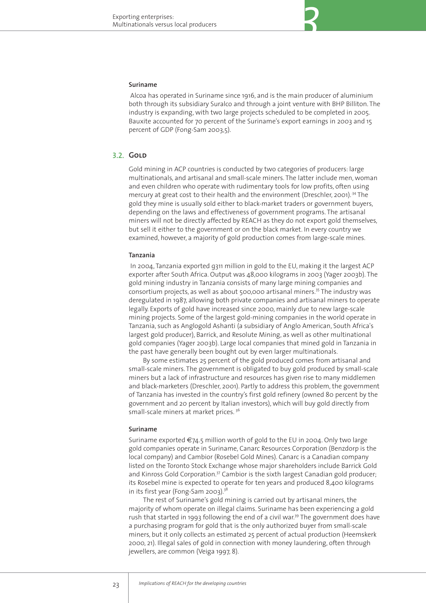#### **Suriname**

Alcoa has operated in Suriname since 1916, and is the main producer of aluminium both through its subsidiary Suralco and through a joint venture with BHP Billiton. The industry is expanding, with two large projects scheduled to be completed in 2005. Bauxite accounted for 70 percent of the Suriname's export earnings in 2003 and 15 percent of GDP (Fong-Sam 2003,5).

## **Gold3.2.**

Gold mining in ACP countries is conducted by two categories of producers: large multinationals, and artisanal and small-scale miners. The latter include men, woman and even children who operate with rudimentary tools for low profits, often using mercury at great cost to their health and the environment (Dreschler, 2001).<sup>34</sup> The gold they mine is usually sold either to black-market traders or government buyers, depending on the laws and effectiveness of government programs. The artisanal miners will not be directly affected by REACH as they do not export gold themselves, but sell it either to the government or on the black market. In every country we examined, however, a majority of gold production comes from large-scale mines.

#### **Tanzania**

In 2004, Tanzania exported ¤311 million in gold to the EU, making it the largest ACP exporter after South Africa. Output was 48,000 kilograms in 2003 (Yager 2003b). The gold mining industry in Tanzania consists of many large mining companies and consortium projects, as well as about 500,000 artisanal miners.<sup>35</sup> The industry was deregulated in 1987, allowing both private companies and artisanal miners to operate legally. Exports of gold have increased since 2000, mainly due to new large-scale mining projects. Some of the largest gold-mining companies in the world operate in Tanzania, such as Anglogold Ashanti (a subsidiary of Anglo American, South Africa's largest gold producer), Barrick, and Resolute Mining, as well as other multinational gold companies (Yager 2003b). Large local companies that mined gold in Tanzania in the past have generally been bought out by even larger multinationals.

By some estimates 25 percent of the gold produced comes from artisanal and small-scale miners. The government is obligated to buy gold produced by small-scale miners but a lack of infrastructure and resources has given rise to many middlemen and black-marketers (Dreschler, 2001). Partly to address this problem, the government of Tanzania has invested in the country's first gold refinery (owned 80 percent by the government and 20 percent by Italian investors), which will buy gold directly from small-scale miners at market prices.<sup>36</sup>

#### **Suriname**

Suriname exported €74.5 million worth of gold to the EU in 2004. Only two large gold companies operate in Suriname, Canarc Resources Corporation (Benzdorp is the local company) and Cambior (Rosebel Gold Mines). Canarc is a Canadian company listed on the Toronto Stock Exchange whose major shareholders include Barrick Gold and Kinross Gold Corporation.<sup>37</sup> Cambior is the sixth largest Canadian gold producer; its Rosebel mine is expected to operate for ten years and produced 8,400 kilograms in its first year (Fong-Sam 2003). $38$ 

The rest of Suriname's gold mining is carried out by artisanal miners, the majority of whom operate on illegal claims. Suriname has been experiencing a gold rush that started in 1993 following the end of a civil war.<sup>39</sup> The government does have a purchasing program for gold that is the only authorized buyer from small-scale miners, but it only collects an estimated 25 percent of actual production (Heemskerk 2000, 21). Illegal sales of gold in connection with money laundering, often through jewellers, are common (Veiga 1997, 8).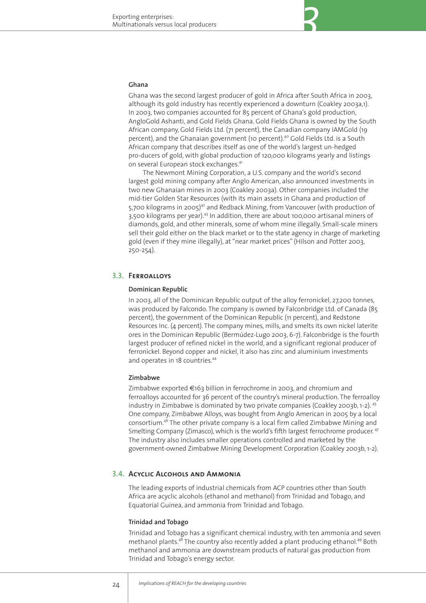#### **Ghana**

Ghana was the second largest producer of gold in Africa after South Africa in 2003, although its gold industry has recently experienced a downturn (Coakley 2003a,1). In 2003, two companies accounted for 85 percent of Ghana's gold production, AngloGold Ashanti, and Gold Fields Ghana. Gold Fields Ghana is owned by the South African company, Gold Fields Ltd. (71 percent), the Canadian company IAMGold (19 percent), and the Ghanaian government (10 percent).<sup>40</sup> Gold Fields Ltd. is a South African company that describes itself as one of the world's largest un-hedged pro-ducers of gold, with global production of 120,000 kilograms yearly and listings on several European stock exchanges.<sup>41</sup>

The Newmont Mining Corporation, a U.S. company and the world's second largest gold mining company after Anglo American, also announced investments in two new Ghanaian mines in 2003 (Coakley 2003a). Other companies included the mid-tier Golden Star Resources (with its main assets in Ghana and production of 5,700 kilograms in 2005) $42$  and Redback Mining, from Vancouver (with production of 3,500 kilograms per year).<sup>43</sup> In addition, there are about 100,000 artisanal miners of diamonds, gold, and other minerals, some of whom mine illegally. Small-scale miners sell their gold either on the black market or to the state agency in charge of marketing gold (even if they mine illegally), at "near market prices" (Hilson and Potter 2003, 250-254).

## **Ferroalloys3.3.**

#### **Dominican Republic**

In 2003, all of the Dominican Republic output of the alloy ferronickel, 27,200 tonnes, was produced by Falcondo. The company is owned by Falconbridge Ltd. of Canada (85 percent), the government of the Dominican Republic (11 percent), and Redstone Resources Inc. (4 percent). The company mines, mills, and smelts its own nickel laterite ores in the Dominican Republic (Bermúdez-Lugo 2003, 6-7). Falconbridge is the fourth largest producer of refined nickel in the world, and a significant regional producer of ferronickel. Beyond copper and nickel, it also has zinc and aluminium investments and operates in 18 countries.<sup>44</sup>

#### **Zimbabwe**

Zimbabwe exported  $\epsilon$ 163 billion in ferrochrome in 2003, and chromium and ferroalloys accounted for 36 percent of the country's mineral production. The ferroalloy industry in Zimbabwe is dominated by two private companies (Coakley 2003b, 1-2).  $45$ One company, Zimbabwe Alloys, was bought from Anglo American in 2005 by a local consortium.<sup>46</sup> The other private company is a local firm called Zimbabwe Mining and Smelting Company (Zimasco), which is the world's fifth largest ferrochrome producer. <sup>47</sup> The industry also includes smaller operations controlled and marketed by the government-owned Zimbabwe Mining Development Corporation (Coakley 2003b, 1-2).

# **Acyclic Alcohols and Ammonia 3.4.**

The leading exports of industrial chemicals from ACP countries other than South Africa are acyclic alcohols (ethanol and methanol) from Trinidad and Tobago, and Equatorial Guinea, and ammonia from Trinidad and Tobago.

#### **Trinidad and Tobago**

Trinidad and Tobago has a significant chemical industry, with ten ammonia and seven methanol plants.<sup>48</sup> The country also recently added a plant producing ethanol.<sup>49</sup> Both methanol and ammonia are downstream products of natural gas production from Trinidad and Tobago's energy sector.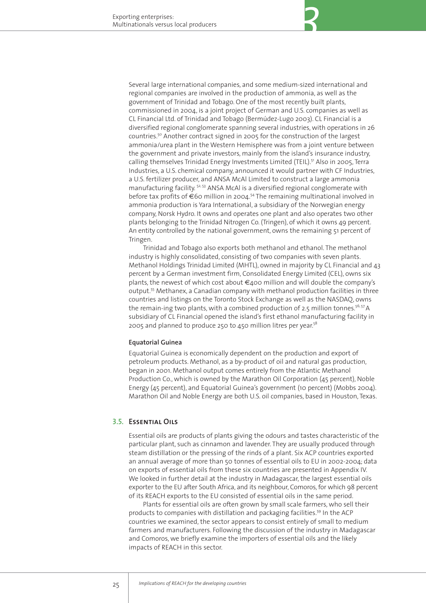Several large international companies, and some medium-sized international and regional companies are involved in the production of ammonia, as well as the government of Trinidad and Tobago. One of the most recently built plants, commissioned in 2004, is a joint project of German and U.S. companies as well as CL Financial Ltd. of Trinidad and Tobago (Bermúdez-Lugo 2003). CL Financial is a diversified regional conglomerate spanning several industries, with operations in 26 countries.50 Another contract signed in 2005 for the construction of the largest ammonia/urea plant in the Western Hemisphere was from a joint venture between the government and private investors, mainly from the island's insurance industry, calling themselves Trinidad Energy Investments Limited (TEIL).<sup>51</sup> Also in 2005, Terra Industries, a U.S. chemical company, announced it would partner with CF Industries, a U.S. fertilizer producer, and ANSA McAl Limited to construct a large ammonia manufacturing facility. <sup>52, 53</sup> ANSA McAl is a diversified regional conglomerate with before tax profits of  $\epsilon$ 60 million in 2004.<sup>54</sup> The remaining multinational involved in ammonia production is Yara International, a subsidiary of the Norwegian energy company, Norsk Hydro. It owns and operates one plant and also operates two other plants belonging to the Trinidad Nitrogen Co. (Tringen), of which it owns 49 percent. An entity controlled by the national government, owns the remaining 51 percent of Tringen.

*3*

Trinidad and Tobago also exports both methanol and ethanol. The methanol industry is highly consolidated, consisting of two companies with seven plants. Methanol Holdings Trinidad Limited (MHTL), owned in majority by CL Financial and 43 percent by a German investment firm, Consolidated Energy Limited (CEL), owns six plants, the newest of which cost about €400 million and will double the company's output.55 Methanex, a Canadian company with methanol production facilities in three countries and listings on the Toronto Stock Exchange as well as the NASDAQ, owns the remain-ing two plants, with a combined production of 2.5 million tonnes.<sup>56, 57</sup> A subsidiary of CL Financial opened the island's first ethanol manufacturing facility in 2005 and planned to produce 250 to 450 million litres per year.<sup>58</sup>

#### **Equatorial Guinea**

Equatorial Guinea is economically dependent on the production and export of petroleum products. Methanol, as a by-product of oil and natural gas production, began in 2001. Methanol output comes entirely from the Atlantic Methanol Production Co., which is owned by the Marathon Oil Corporation (45 percent), Noble Energy (45 percent), and Equatorial Guinea's government (10 percent) (Mobbs 2004). Marathon Oil and Noble Energy are both U.S. oil companies, based in Houston, Texas.

### **Essential Oils 3.5.**

Essential oils are products of plants giving the odours and tastes characteristic of the particular plant, such as cinnamon and lavender. They are usually produced through steam distillation or the pressing of the rinds of a plant. Six ACP countries exported an annual average of more than 50 tonnes of essential oils to EU in 2002-2004; data on exports of essential oils from these six countries are presented in Appendix IV. We looked in further detail at the industry in Madagascar, the largest essential oils exporter to the EU after South Africa, and its neighbour, Comoros, for which 98 percent of its REACH exports to the EU consisted of essential oils in the same period.

Plants for essential oils are often grown by small scale farmers, who sell their products to companies with distillation and packaging facilities.<sup>59</sup> In the ACP countries we examined, the sector appears to consist entirely of small to medium farmers and manufacturers. Following the discussion of the industry in Madagascar and Comoros, we briefly examine the importers of essential oils and the likely impacts of REACH in this sector.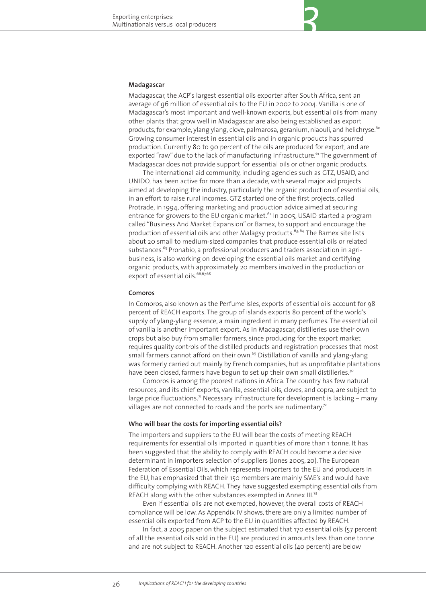#### **Madagascar**

Madagascar, the ACP's largest essential oils exporter after South Africa, sent an average of q6 million of essential oils to the EU in 2002 to 2004. Vanilla is one of Madagascar's most important and well-known exports, but essential oils from many other plants that grow well in Madagascar are also being established as export products, for example, ylang ylang, clove, palmarosa, geranium, niaouli, and helichryse.<sup>60</sup> Growing consumer interest in essential oils and in organic products has spurred production. Currently 80 to 90 percent of the oils are produced for export, and are exported "raw" due to the lack of manufacturing infrastructure.<sup>61</sup> The government of Madagascar does not provide support for essential oils or other organic products.

The international aid community, including agencies such as GTZ, USAID, and UNIDO, has been active for more than a decade, with several major aid projects aimed at developing the industry, particularly the organic production of essential oils, in an effort to raise rural incomes. GTZ started one of the first projects, called Protrade, in 1994, offering marketing and production advice aimed at securing entrance for growers to the EU organic market.<sup>62</sup> In 2005, USAID started a program called "Business And Market Expansion" or Bamex, to support and encourage the production of essential oils and other Malagsy products.<sup>63, 64</sup> The Bamex site lists about 20 small to medium-sized companies that produce essential oils or related substances.<sup>65</sup> Pronabio, a professional producers and traders association in agribusiness, is also working on developing the essential oils market and certifying organic products, with approximately 20 members involved in the production or export of essential oils.<sup>66,67,68</sup>

#### **Comoros**

In Comoros, also known as the Perfume Isles, exports of essential oils account for 98 percent of REACH exports. The group of islands exports 80 percent of the world's supply of ylang-ylang essence, a main ingredient in many perfumes. The essential oil of vanilla is another important export. As in Madagascar, distilleries use their own crops but also buy from smaller farmers, since producing for the export market requires quality controls of the distilled products and registration processes that most small farmers cannot afford on their own.<sup>69</sup> Distillation of vanilla and ylang-ylang was formerly carried out mainly by French companies, but as unprofitable plantations have been closed, farmers have begun to set up their own small distilleries.<sup>70</sup>

Comoros is among the poorest nations in Africa. The country has few natural resources, and its chief exports, vanilla, essential oils, cloves, and copra, are subject to large price fluctuations.<sup>71</sup> Necessary infrastructure for development is lacking – many villages are not connected to roads and the ports are rudimentary.<sup>72</sup>

#### **Who will bear the costs for importing essential oils?**

The importers and suppliers to the EU will bear the costs of meeting REACH requirements for essential oils imported in quantities of more than 1 tonne. It has been suggested that the ability to comply with REACH could become a decisive determinant in importers selection of suppliers (Jones 2005, 20). The European Federation of Essential Oils, which represents importers to the EU and producers in the EU, has emphasized that their 150 members are mainly SME's and would have difficulty complying with REACH. They have suggested exempting essential oils from REACH along with the other substances exempted in Annex III.<sup>73</sup>

Even if essential oils are not exempted, however, the overall costs of REACH compliance will be low. As Appendix IV shows, there are only a limited number of essential oils exported from ACP to the EU in quantities affected by REACH.

In fact, a 2005 paper on the subject estimated that 170 essential oils (57 percent of all the essential oils sold in the EU) are produced in amounts less than one tonne and are not subject to REACH. Another 120 essential oils (40 percent) are below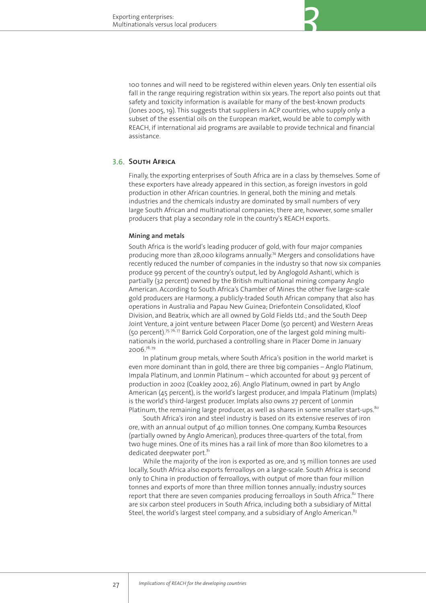

*3*

### **S.6. SOUTH AFRICA**

Finally, the exporting enterprises of South Africa are in a class by themselves. Some of these exporters have already appeared in this section, as foreign investors in gold production in other African countries. In general, both the mining and metals industries and the chemicals industry are dominated by small numbers of very large South African and multinational companies; there are, however, some smaller producers that play a secondary role in the country's REACH exports.

#### **Mining and metals**

South Africa is the world's leading producer of gold, with four major companies producing more than 28,000 kilograms annually.<sup>74</sup> Mergers and consolidations have recently reduced the number of companies in the industry so that now six companies produce 99 percent of the country's output, led by Anglogold Ashanti, which is partially (32 percent) owned by the British multinational mining company Anglo American. According to South Africa's Chamber of Mines the other five large-scale gold producers are Harmony, a publicly-traded South African company that also has operations in Australia and Papau New Guinea; Driefontein Consolidated, Kloof Division, and Beatrix, which are all owned by Gold Fields Ltd.; and the South Deep Joint Venture, a joint venture between Placer Dome (50 percent) and Western Areas (50 percent).<sup>75, 76, 77</sup> Barrick Gold Corporation, one of the largest gold mining multinationals in the world, purchased a controlling share in Placer Dome in January 2006.78, 79

In platinum group metals, where South Africa's position in the world market is even more dominant than in gold, there are three big companies – Anglo Platinum, Impala Platinum, and Lonmin Platinum – which accounted for about 93 percent of production in 2002 (Coakley 2002, 26). Anglo Platinum, owned in part by Anglo American (45 percent), is the world's largest producer, and Impala Platinum (Implats) is the world's third-largest producer. Implats also owns 27 percent of Lonmin Platinum, the remaining large producer, as well as shares in some smaller start-ups. $80$ 

South Africa's iron and steel industry is based on its extensive reserves of iron ore, with an annual output of 40 million tonnes. One company, Kumba Resources (partially owned by Anglo American), produces three-quarters of the total, from two huge mines. One of its mines has a rail link of more than 800 kilometres to a dedicated deepwater port.<sup>81</sup>

While the majority of the iron is exported as ore, and 15 million tonnes are used locally, South Africa also exports ferroalloys on a large-scale. South Africa is second only to China in production of ferroalloys, with output of more than four million tonnes and exports of more than three million tonnes annually; industry sources report that there are seven companies producing ferroalloys in South Africa. $82$  There are six carbon steel producers in South Africa, including both a subsidiary of Mittal Steel, the world's largest steel company, and a subsidiary of Anglo American.<sup>83</sup>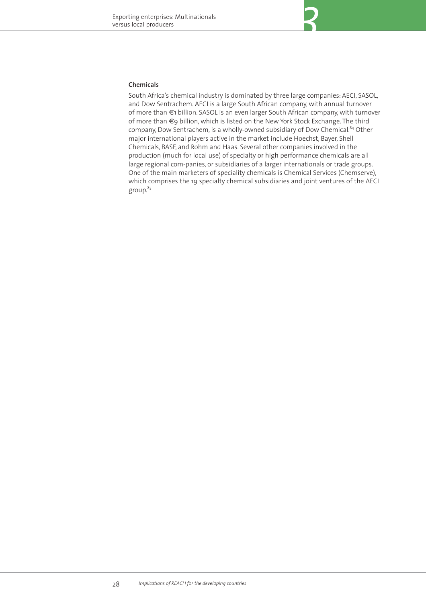#### **Chemicals**

South Africa's chemical industry is dominated by three large companies: AECI, SASOL, and Dow Sentrachem. AECI is a large South African company, with annual turnover of more than €1 billion. SASOL is an even larger South African company, with turnover of more than €9 billion, which is listed on the New York Stock Exchange. The third company, Dow Sentrachem, is a wholly-owned subsidiary of Dow Chemical.<sup>84</sup> Other major international players active in the market include Hoechst, Bayer, Shell Chemicals, BASF, and Rohm and Haas. Several other companies involved in the production (much for local use) of specialty or high performance chemicals are all large regional com-panies, or subsidiaries of a larger internationals or trade groups. One of the main marketers of speciality chemicals is Chemical Services (Chemserve), which comprises the 19 specialty chemical subsidiaries and joint ventures of the AECI group.<sup>85</sup>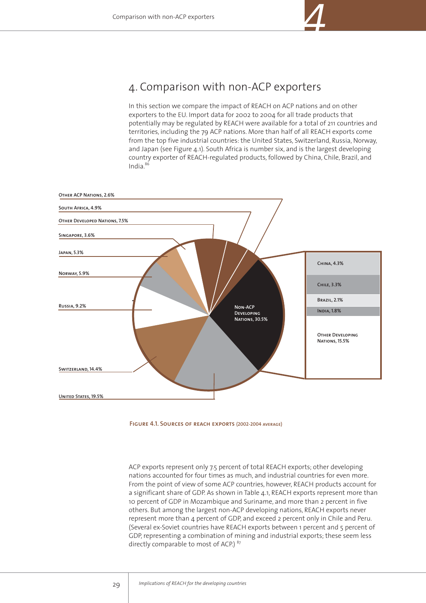

# 4. Comparison with non-ACP exporters

In this section we compare the impact of REACH on ACP nations and on other exporters to the EU. Import data for 2002 to 2004 for all trade products that potentially may be regulated by REACH were available for a total of 211 countries and territories, including the 79 ACP nations. More than half of all REACH exports come from the top five industrial countries: the United States, Switzerland, Russia, Norway, and Japan (see Figure 4.1). South Africa is number six, and is the largest developing country exporter of REACH-regulated products, followed by China, Chile, Brazil, and India. $86$ 





ACP exports represent only 7.5 percent of total REACH exports; other developing nations accounted for four times as much, and industrial countries for even more. From the point of view of some ACP countries, however, REACH products account for a significant share of GDP. As shown in Table 4.1, REACH exports represent more than 10 percent of GDP in Mozambique and Suriname, and more than 2 percent in five others. But among the largest non-ACP developing nations, REACH exports never represent more than 4 percent of GDP, and exceed 2 percent only in Chile and Peru. (Several ex-Soviet countries have REACH exports between 1 percent and 5 percent of GDP, representing a combination of mining and industrial exports; these seem less directly comparable to most of ACP.) 87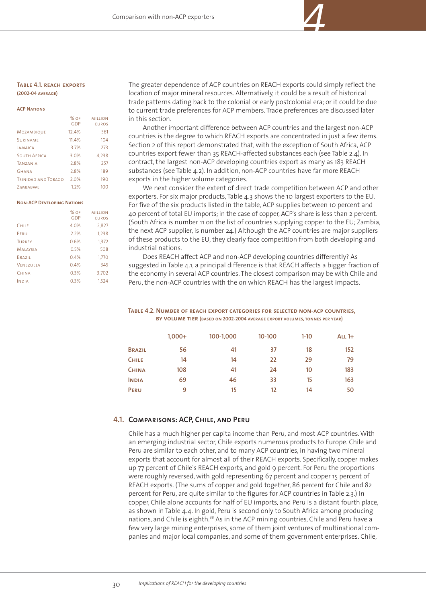#### **Table 4.1. reach exports (2002-04 average)**

#### **ACP Nations**% of million GDP eurosMozambique 12.4% 561SURINAME 11.4% 104 Jamaica 3.7% 273South Africa 3.0% 4,238Tanzania 2.8% 257Ghana 2.8% 189

Trinidad and Tobago 2.0% 190Zimbabwe 1.2% 100

#### **Non-ACP Developing Nations**

|                  | $%$ OF<br><b>GDP</b> | <b>MILLION</b><br><b>EUROS</b> |
|------------------|----------------------|--------------------------------|
| <b>CHILE</b>     | 4.0%                 | 2,827                          |
| PERU             | 2.2%                 | 1,238                          |
| <b>TURKEY</b>    | 0.6%                 | 1,372                          |
| <b>MALAYSIA</b>  | 0.5%                 | 508                            |
| BRAZIL           | 0.4%                 | 1,770                          |
| <b>VENEZUELA</b> | 0.4%                 | 345                            |
| CHINA            | 0.3%                 | 3,702                          |
| <b>NDIA</b>      | 0.3%                 | 1.524                          |

The greater dependence of ACP countries on REACH exports could simply reflect the location of major mineral resources. Alternatively, it could be a result of historical trade patterns dating back to the colonial or early postcolonial era; or it could be due to current trade preferences for ACP members. Trade preferences are discussed later in this section.

*4*

Another important difference between ACP countries and the largest non-ACP countries is the degree to which REACH exports are concentrated in just a few items. Section 2 of this report demonstrated that, with the exception of South Africa, ACP countries export fewer than 35 REACH-affected substances each (see Table 2.4). In contract, the largest non-ACP developing countries export as many as 183 REACH substances (see Table 4.2). In addition, non-ACP countries have far more REACH exports in the higher volume categories.

We next consider the extent of direct trade competition between ACP and other exporters. For six major products, Table 4.3 shows the 10 largest exporters to the EU. For five of the six products listed in the table, ACP supplies between 10 percent and 40 percent of total EU imports; in the case of copper, ACP's share is less than 2 percent. (South Africa is number 11 on the list of countries supplying copper to the EU; Zambia, the next ACP supplier, is number 24.) Although the ACP countries are major suppliers of these products to the EU, they clearly face competition from both developing and industrial nations.

Does REACH affect ACP and non-ACP developing countries differently? As suggested in Table 4.1, a principal difference is that REACH affects a bigger fraction of the economy in several ACP countries. The closest comparison may be with Chile and Peru, the non-ACP countries with the on which REACH has the largest impacts.

#### **Table 4.2. Number of reach export categories for selected non-acp countries, by volume tier (based on 2002-2004 average export volumes, tonnes per year)**

|               | $1,000+$ | 100-1,000 | 10-100 | $1-10$ | ALL $1+$ |
|---------------|----------|-----------|--------|--------|----------|
| <b>BRAZIL</b> | 56       | 41        | 37     | 18     | 152      |
| <b>CHILE</b>  | 14       | 14        | 22     | 29     | 79       |
| <b>CHINA</b>  | 108      | 41        | 24     | 10     | 183      |
| <b>INDIA</b>  | 69       | 46        | 33     | 15     | 163      |
| PERU          | 9        | 15        | 12     | 14     | 50       |

## **Comparisons: ACP, Chile, and Peru 4.1.**

Chile has a much higher per capita income than Peru, and most ACP countries. With an emerging industrial sector, Chile exports numerous products to Europe. Chile and Peru are similar to each other, and to many ACP countries, in having two mineral exports that account for almost all of their REACH exports. Specifically, copper makes up 77 percent of Chile's REACH exports, and gold 9 percent. For Peru the proportions were roughly reversed, with gold representing 67 percent and copper 15 percent of REACH exports. (The sums of copper and gold together, 86 percent for Chile and 82 percent for Peru, are quite similar to the figures for ACP countries in Table 2.3.) In copper, Chile alone accounts for half of EU imports, and Peru is a distant fourth place, as shown in Table 4.4. In gold, Peru is second only to South Africa among producing nations, and Chile is eighth.<sup>88</sup> As in the ACP mining countries, Chile and Peru have a few very large mining enterprises, some of them joint ventures of multinational companies and major local companies, and some of them government enterprises. Chile,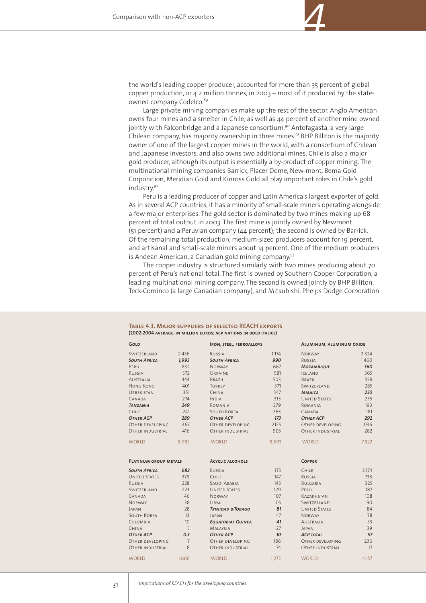

*4*

Large private mining companies make up the rest of the sector. Anglo American owns four mines and a smelter in Chile, as well as 44 percent of another mine owned jointly with Falconbridge and a Japanese consortium.<sup>90</sup> Antofagasta, a very large Chilean company, has majority ownership in three mines.<sup>91</sup> BHP Billiton is the majority owner of one of the largest copper mines in the world, with a consortium of Chilean and Japanese investors, and also owns two additional mines. Chile is also a major gold producer, although its output is essentially a by-product of copper mining. The multinational mining companies Barrick, Placer Dome, New-mont, Bema Gold Corporation, Meridian Gold and Kinross Gold all play important roles in Chile's gold industry.92

Peru is a leading producer of copper and Latin America's largest exporter of gold. As in several ACP countries, it has a minority of small-scale miners operating alongside a few major enterprises. The gold sector is dominated by two mines making up 68 percent of total output in 2003. The first mine is jointly owned by Newmont (51 percent) and a Peruvian company (44 percent); the second is owned by Barrick. Of the remaining total production, medium-sized producers account for 19 percent, and artisanal and small-scale miners about 14 percent. One of the medium producers is Andean American, a Canadian gold mining company.<sup>93</sup>

The copper industry is structured similarly, with two mines producing about 70 percent of Peru's national total. The first is owned by Southern Copper Corporation, a leading multinational mining company. The second is owned jointly by BHP Billiton, Teck-Cominco (a large Canadian company), and Mitsubishi. Phelps Dodge Corporation

| GoLD<br><b>IRON, STEEL, FERROALLOYS</b> |                | ALUMINUM, ALUMINUM OXIDE     |       |                         |       |
|-----------------------------------------|----------------|------------------------------|-------|-------------------------|-------|
| SWITZERLAND                             | 2,456          | RUSSIA                       | 1,174 | <b>NORWAY</b>           | 2,324 |
| <b>SOUTH AFRICA</b>                     | 1,993          | <b>SOUTH AFRICA</b>          | 990   | RUSSIA                  | 1,460 |
| PERU                                    | 832            | <b>NORWAY</b>                | 667   | <b>MOZAMBIOUE</b>       | 560   |
| RUSSIA                                  | 572            | UKRAINE                      | 581   | <b>ICELAND</b>          | 365   |
| AUSTRALIA                               | 444            | BRAZIL                       | 503   | BRAZIL                  | 358   |
| <b>HONG KONG</b>                        | 401            | <b>TURKEY</b>                | 371   | SWITZERLAND             | 285   |
| <b>UZBEKISTAN</b>                       | 351            | <b>CHINA</b>                 | 347   | <b>JAMAICA</b>          | 250   |
| CANADA                                  | 274            | <b>INDIA</b>                 | 313   | <b>UNITED STATES</b>    | 235   |
| <b><i>TANZANIA</i></b>                  | 249            | ROMANIA                      | 279   | ROMANIA                 | 193   |
| CHILE                                   | 241            | <b>SOUTH KOREA</b>           | 263   | CANADA                  | 181   |
| OTHER ACP                               | 289            | <b>OTHER ACP</b>             | 173   | ОТНЕР АСР               | 292   |
| OTHER DEVELOPING                        | 467            | OTHER DEVELOPING             | 2125  | OTHER DEVELOPING        | 1036  |
| OTHER INDUSTRIAL                        | 416            | <b>OTHER INDUSTRIAL</b>      | 905   | <b>OTHER INDUSTRIAL</b> | 282   |
| <b>WORLD</b>                            | 8,985          | <b>WORLD</b>                 | 8,691 | <b>WORLD</b>            | 7,822 |
| PLATINUM GROUP METALS                   |                | <b>ACYCLIC ALCOHOLS</b>      |       | <b>COPPER</b>           |       |
| <b>SOUTH AFRICA</b>                     | 682            | RUSSIA                       | 175   | CHILE                   | 2,174 |
| <b>UNITED STATES</b>                    | 379            | CHILE                        | 147   | RUSSIA                  | 733   |
| RUSSIA                                  | 228            | <b>SAUDI ARABIA</b>          | 145   | BULGARIA                | 325   |
| SWITZERLAND                             | 223            | <b>UNITED STATES</b>         | 129   | PERU                    | 187   |
| CANADA                                  | 46             | <b>NORWAY</b>                | 107   | KAZAKHSTAN              | 108   |
| <b>NORWAY</b>                           | 38             | LIBYA                        | 105   | SWITZERLAND             | 90    |
| JAPAN                                   | 28             | <b>TRINIDAD &amp; TOBAGO</b> | 81    | <b>UNITED STATES</b>    | 84    |
| <b>SOUTH KOREA</b>                      | 13             | <b>JAPAN</b>                 | 47    | <b>NORWAY</b>           | 78    |
| COLOMBIA                                | 10             | <b>EOUATORIAL GUINEA</b>     | 41    | <b>AUSTRALIA</b>        | 53    |
| CHINA                                   | 5              | <b>MALAYSIA</b>              | 27    | <b>JAPAN</b>            | 39    |
| OTHER ACP                               | 0.3            | <b>OTHER ACP</b>             | 10    | <b>ACP TOTAL</b>        | 57    |
| OTHER DEVELOPING                        | $\overline{7}$ | OTHER DEVELOPING             | 186   | OTHER DEVELOPING        | 236   |
| OTHER INDUSTRIAL                        | 8              | <b>OTHER INDUSTRIAL</b>      | 74    | <b>OTHER INDUSTRIAL</b> | 17    |
| <b>WORLD</b>                            | 1.666          | <b>WORLD</b>                 | 1.273 | <b>WORLD</b>            | 4,157 |
|                                         |                |                              |       |                         |       |

#### **Table 4.3. Major suppliers of selected REACH exports (2002-2004 average, in million euros; acp nations in bold italics)**

 $\vee$ 

 $\vee$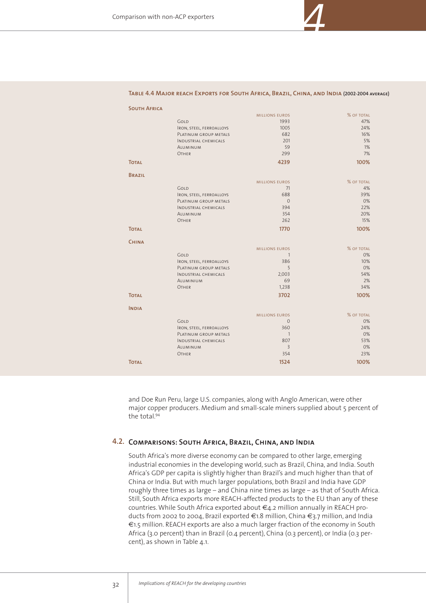

*4*

| <b>SOUTH AFRICA</b> |                             |                       |            |
|---------------------|-----------------------------|-----------------------|------------|
|                     |                             | <b>MILLIONS EUROS</b> | % OF TOTAL |
|                     | GOLD                        | 1993                  | 47%        |
|                     | IRON, STEEL, FERROALLOYS    | 1005                  | 24%        |
|                     | PLATINUM GROUP METALS       | 682                   | 16%        |
|                     | <b>INDUSTRIAL CHEMICALS</b> | 201                   | 5%         |
|                     | ALUMINUM                    | 59                    | 1%         |
|                     | OTHER                       | 299                   | 7%         |
| <b>TOTAL</b>        |                             | 4239                  | 100%       |
| <b>BRAZIL</b>       |                             |                       |            |
|                     |                             | <b>MILLIONS EUROS</b> | % OF TOTAL |
|                     | GOLD                        | 71                    | 4%         |
|                     | IRON, STEEL, FERROALLOYS    | 688                   | 39%        |
|                     | PLATINUM GROUP METALS       | $\Omega$              | 0%         |
|                     | <b>INDUSTRIAL CHEMICALS</b> | 394                   | 22%        |
|                     | <b>AIUMINUM</b>             | 354                   | 20%        |
|                     | OTHER                       | 262                   | 15%        |
| <b>TOTAL</b>        |                             | 1770                  | 100%       |
| <b>CHINA</b>        |                             |                       |            |
|                     |                             | <b>MILLIONS EUROS</b> | % OF TOTAL |
|                     | GOLD                        | $\mathbf{1}$          | 0%         |
|                     | IRON, STEEL, FERROALLOYS    | 386                   | 10%        |
|                     | PLATINUM GROUP METALS       | 5                     | 0%         |
|                     | <b>INDUSTRIAL CHEMICALS</b> | 2,003                 | 54%        |
|                     | <b>AIUMINIUM</b>            | 69                    | 2%         |
|                     | OTHER                       | 1,238                 | 34%        |
| <b>TOTAL</b>        |                             | 3702                  | 100%       |
| <b>INDIA</b>        |                             |                       |            |
|                     |                             | <b>MILLIONS EUROS</b> | % OF TOTAL |
|                     | GOLD                        | $\mathbf{0}$          | 0%         |
|                     | IRON, STEEL, FERROALLOYS    | 360                   | 24%        |
|                     | PLATINUM GROUP METALS       | $\mathbf{1}$          | 0%         |
|                     | <b>INDUSTRIAL CHEMICALS</b> | 807                   | 53%        |
|                     | <b>AIUMINUM</b>             | $\overline{3}$        | 0%         |
|                     | OTHER                       | 354                   | 23%        |
| <b>TOTAL</b>        |                             | 1524                  | 100%       |
|                     |                             |                       |            |

and Doe Run Peru, large U.S. companies, along with Anglo American, were other major copper producers. Medium and small-scale miners supplied about 5 percent of the total.<sup>94</sup>

# **Comparisons: South Africa, Brazil, China, and India 4.2.**

South Africa's more diverse economy can be compared to other large, emerging industrial economies in the developing world, such as Brazil, China, and India. South Africa's GDP per capita is slightly higher than Brazil's and much higher than that of China or India. But with much larger populations, both Brazil and India have GDP roughly three times as large – and China nine times as large – as that of South Africa. Still, South Africa exports more REACH-affected products to the EU than any of these countries. While South Africa exported about €4.2 million annually in REACH products from 2002 to 2004, Brazil exported €1.8 million, China €3.7 million, and India €1.5 million. REACH exports are also a much larger fraction of the economy in South Africa (3.0 percent) than in Brazil (0.4 percent), China (0.3 percent), or India (0.3 percent), as shown in Table 4.1.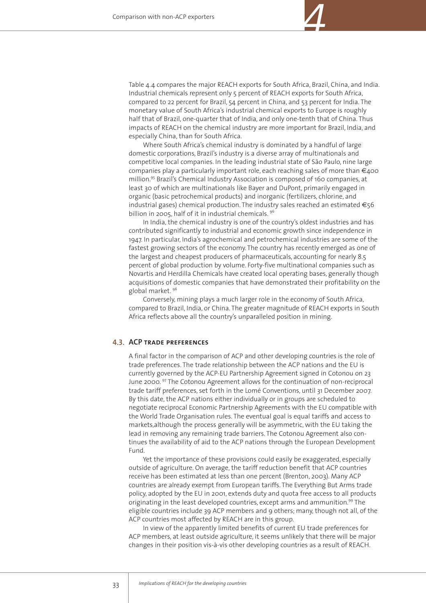

Where South Africa's chemical industry is dominated by a handful of large domestic corporations, Brazil's industry is a diverse array of multinationals and competitive local companies. In the leading industrial state of São Paulo, nine large companies play a particularly important role, each reaching sales of more than  $\epsilon_{400}$ million.<sup>95</sup> Brazil's Chemical Industry Association is composed of 160 companies, at least 30 of which are multinationals like Bayer and DuPont, primarily engaged in organic (basic petrochemical products) and inorganic (fertilizers, chlorine, and industrial gases) chemical production. The industry sales reached an estimated €56 billion in 2005, half of it in industrial chemicals.<sup>96</sup>

In India, the chemical industry is one of the country's oldest industries and has contributed significantly to industrial and economic growth since independence in 1947. In particular, India's agrochemical and petrochemical industries are some of the fastest growing sectors of the economy. The country has recently emerged as one of the largest and cheapest producers of pharmaceuticals, accounting for nearly 8.5 percent of global production by volume. Forty-five multinational companies such as Novartis and Herdilla Chemicals have created local operating bases, generally though acquisitions of domestic companies that have demonstrated their profitability on the global market. <sup>96</sup>

Conversely, mining plays a much larger role in the economy of South Africa, compared to Brazil, India, or China. The greater magnitude of REACH exports in South Africa reflects above all the country's unparalleled position in mining.

### **4.3.ACP trade preferences**

A final factor in the comparison of ACP and other developing countries is the role of trade preferences. The trade relationship between the ACP nations and the EU is currently governed by the ACP-EU Partnership Agreement signed in Cotonou on 23 June 2000. <sup>97</sup> The Cotonou Agreement allows for the continuation of non-reciprocal trade tariff preferences, set forth in the Lomé Conventions, until 31 December 2007. By this date, the ACP nations either individually or in groups are scheduled to negotiate reciprocal Economic Partnership Agreements with the EU compatible with the World Trade Organisation rules. The eventual goal is equal tariffs and access to markets,although the process generally will be asymmetric, with the EU taking the lead in removing any remaining trade barriers. The Cotonou Agreement also continues the availability of aid to the ACP nations through the European Development Fund.

Yet the importance of these provisions could easily be exaggerated, especially outside of agriculture. On average, the tariff reduction benefit that ACP countries receive has been estimated at less than one percent (Brenton, 2003). Many ACP countries are already exempt from European tariffs. The Everything But Arms trade policy, adopted by the EU in 2001, extends duty and quota free access to all products originating in the least developed countries, except arms and ammunition.<sup>99</sup> The eligible countries include 39 ACP members and 9 others; many, though not all, of the ACP countries most affected by REACH are in this group.

In view of the apparently limited benefits of current EU trade preferences for ACP members, at least outside agriculture, it seems unlikely that there will be major changes in their position vis-à-vis other developing countries as a result of REACH.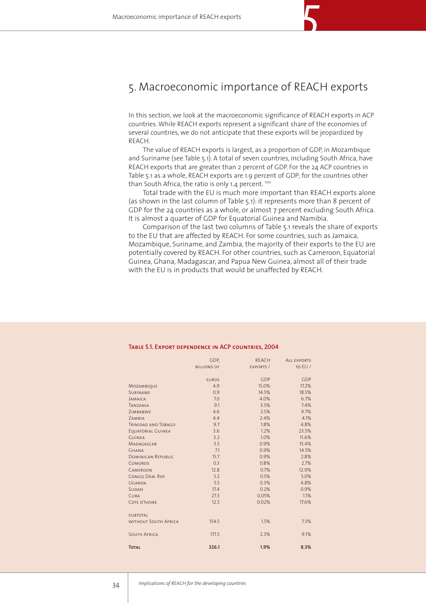# 5. Macroeconomic importance of REACH exports

*5*

In this section, we look at the macroeconomic significance of REACH exports in ACP countries. While REACH exports represent a significant share of the economies of several countries, we do not anticipate that these exports will be jeopardized by REACH.

The value of REACH exports is largest, as a proportion of GDP, in Mozambique and Suriname (see Table 5.1). A total of seven countries, including South Africa, have REACH exports that are greater than 2 percent of GDP. For the 24 ACP countries in Table 5.1 as a whole, REACH exports are 1.9 percent of GDP; for the countries other than South Africa, the ratio is only 1.4 percent.<sup>100</sup>

Total trade with the EU is much more important than REACH exports alone (as shown in the last column of Table 5.1): it represents more than 8 percent of GDP for the 24 countries as a whole, or almost 7 percent excluding South Africa. It is almost a quarter of GDP for Equatorial Guinea and Namibia.

Comparison of the last two columns of Table 5.1 reveals the share of exports to the EU that are affected by REACH. For some countries, such as Jamaica, Mozambique, Suriname, and Zambia, the majority of their exports to the EU are potentially covered by REACH. For other countries, such as Cameroon, Equatorial Guinea, Ghana, Madagascar, and Papua New Guinea, almost all of their trade with the EU is in products that would be unaffected by REACH.

|                             | GDP.               | <b>REACH</b> | <b>ALL EXPORTS</b><br>TO EU / |
|-----------------------------|--------------------|--------------|-------------------------------|
|                             | <b>BILLIONS OF</b> | EXPORTS /    |                               |
|                             | <b>EUROS</b>       | <b>GDP</b>   | <b>GDP</b>                    |
| MOZAMBIQUE                  | 4.9                | 15.0%        | 17.2%                         |
| SURINAME                    | 0.9                | 14.5%        | 18.5%                         |
| <b>JAMAICA</b>              | 7.0                | 4.0%         | 6.7%                          |
| <b>TANZANIA</b>             | 9.1                | 3.5%         | 7.4%                          |
| ZIMBABWE                    | 4.6                | 2.5%         | 9.7%                          |
| ZAMBIA                      | 4.4                | 2.4%         | 4.1%                          |
| <b>TRINIDAD AND TOBAGO</b>  | 9.7                | 1.8%         | 4.8%                          |
| <b>EOUATORIAL GUINEA</b>    | 3.6                | 1.2%         | 23.5%                         |
| <b>GUINFA</b>               | 3.2                | 1.0%         | 11.6%                         |
| MADAGASCAR                  | 3.5                | 0.9%         | 15.4%                         |
| <b>GHANA</b>                | 7.1                | 0.9%         | 14.5%                         |
| <b>DOMINICAN REPUBLIC</b>   | 15.7               | 0.9%         | 2.8%                          |
| <b>COMOROS</b>              | 0.3                | 0.8%         | 2.7%                          |
| CAMEROON                    | 12.8               | 0.7%         | 12.9%                         |
| CONGO, DEM. REP.            | 5.2                | 0.5%         | 5.0%                          |
| UGANDA                      | 5.5                | 0.3%         | 4.8%                          |
| <b>SUDAN</b>                | 17.4               | 0.2%         | 0.9%                          |
| CUBA                        | 27.3               | 0.05%        | 1.1%                          |
| COTE D'IVOIRE               | 12.5               | 0.02%        | 17.6%                         |
| <b>SUBTOTAL</b>             |                    |              |                               |
| <b>WITHOUT SOUTH AFRICA</b> | 154.5              | 1.5%         | 7.3%                          |
| <b>SOUTH AFRICA</b>         | 171.5              | 2.3%         | 9.1%                          |
| <b>TOTAL</b>                | 326.1              | 1.9%         | 8.3%                          |

#### **Table 5.1. Export dependence in ACP countries, 2004**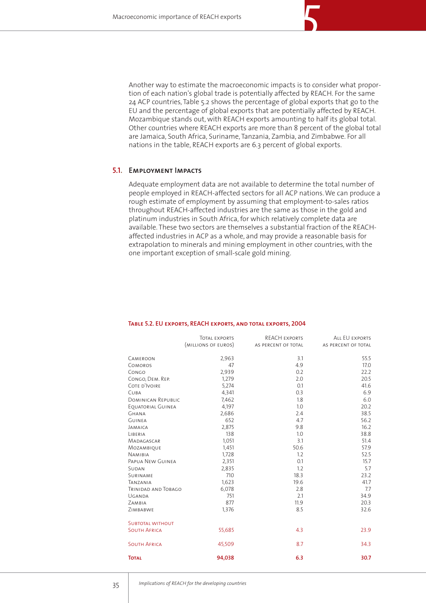Another way to estimate the macroeconomic impacts is to consider what proportion of each nation's global trade is potentially affected by REACH. For the same 24 ACP countries, Table 5.2 shows the percentage of global exports that go to the EU and the percentage of global exports that are potentially affected by REACH. Mozambique stands out, with REACH exports amounting to half its global total. Other countries where REACH exports are more than 8 percent of the global total are Jamaica, South Africa, Suriname, Tanzania, Zambia, and Zimbabwe. For all nations in the table, REACH exports are 6.3 percent of global exports.

# **Employment Impacts 5.1.**

Adequate employment data are not available to determine the total number of people employed in REACH-affected sectors for all ACP nations. We can produce a rough estimate of employment by assuming that employment-to-sales ratios throughout REACH-affected industries are the same as those in the gold and platinum industries in South Africa, for which relatively complete data are available. These two sectors are themselves a substantial fraction of the REACHaffected industries in ACP as a whole, and may provide a reasonable basis for extrapolation to minerals and mining employment in other countries, with the one important exception of small-scale gold mining.

|                           | TOTAL EXPORTS       | REACH EXPORTS       | ALL EU EXPORTS      |
|---------------------------|---------------------|---------------------|---------------------|
|                           | (MILLIONS OF EUROS) | AS PERCENT OF TOTAL | AS PERCENT OF TOTAL |
|                           |                     |                     |                     |
| CAMEROON                  | 2,963               | 3.1                 | 55.5                |
| <b>COMOROS</b>            | 47                  | 4.9                 | 17.0                |
| CONGO                     | 2,939               | 0.2                 | 22.2                |
| CONGO, DEM. REP.          | 1,279               | 2.0                 | 20.5                |
| COTE D'IVOIRE             | 5,274               | 0.1                 | 41.6                |
| CUBA                      | 4,341               | 0.3                 | 6.9                 |
| <b>DOMINICAN REPUBLIC</b> | 7,462               | 1.8                 | 6.0                 |
| EQUATORIAL GUINEA         | 4,197               | 1.0                 | 20.2                |
| <b>GHANA</b>              | 2,686               | 2.4                 | 38.5                |
| <b>GUINEA</b>             | 652                 | 4.7                 | 56.2                |
| JAMAICA                   | 2,875               | 9.8                 | 16.2                |
| LIBERIA                   | 138                 | 1.0                 | 38.8                |
| MADAGASCAR                | 1,051               | 3.1                 | 51.4                |
| MOZAMBIQUE                | 1,451               | 50.6                | 57.9                |
| <b>NAMIBIA</b>            | 1,728               | 1.2                 | 52.5                |
| PAPUA NEW GUINEA          | 2,351               | 0.1                 | 15.7                |
| SUDAN                     | 2,835               | 1.2                 | 5.7                 |
| SURINAME                  | 710                 | 18.3                | 23.2                |
| TANZANIA                  | 1,623               | 19.6                | 41.7                |
| TRINIDAD AND TOBAGO       | 6,078               | 2.8                 | 7.7                 |
| UGANDA                    | 751                 | 2.1                 | 34.9                |
| ZAMBIA                    | 877                 | 11.9                | 20.3                |
| ZIMBABWE                  | 1,376               | 8.5                 | 32.6                |
| <b>SUBTOTAL WITHOUT</b>   |                     |                     |                     |
| <b>SOUTH AFRICA</b>       | 55,685              | 4.3                 | 23.9                |
| <b>SOUTH AFRICA</b>       | 45,509              | 8.7                 | 34.3                |
| <b>TOTAL</b>              | 94,038              | 6.3                 | 30.7                |

#### **Table 5.2. EU exports, REACH exports, and total exports, 2004**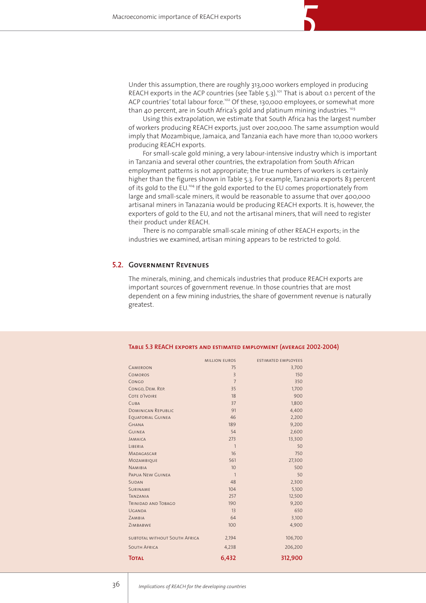Under this assumption, there are roughly 313,000 workers employed in producing REACH exports in the ACP countries (see Table 5.3).<sup>101</sup> That is about 0.1 percent of the ACP countries' total labour force.<sup>102</sup> Of these, 130,000 employees, or somewhat more than 40 percent, are in South Africa's gold and platinum mining industries.<sup>103</sup>

Using this extrapolation, we estimate that South Africa has the largest number of workers producing REACH exports, just over 200,000. The same assumption would imply that Mozambique, Jamaica, and Tanzania each have more than 10,000 workers producing REACH exports.

For small-scale gold mining, a very labour-intensive industry which is important in Tanzania and several other countries, the extrapolation from South African employment patterns is not appropriate; the true numbers of workers is certainly higher than the figures shown in Table 5.3. For example, Tanzania exports 83 percent of its gold to the EU.<sup>104</sup> If the gold exported to the EU comes proportionately from large and small-scale miners, it would be reasonable to assume that over 400,000 artisanal miners in Tanazania would be producing REACH exports. It is, however, the exporters of gold to the EU, and not the artisanal miners, that will need to register their product under REACH.

There is no comparable small-scale mining of other REACH exports; in the industries we examined, artisan mining appears to be restricted to gold.

### **Government Revenues5.2.**

The minerals, mining, and chemicals industries that produce REACH exports are important sources of government revenue. In those countries that are most dependent on a few mining industries, the share of government revenue is naturally greatest.

|                               | <b>MILLION EUROS</b> | <b>ESTIMATED EMPLOYEES</b> |
|-------------------------------|----------------------|----------------------------|
| CAMEROON                      | 75                   | 3,700                      |
| <b>COMOROS</b>                | $\overline{3}$       | 150                        |
| CONGO                         | $\overline{7}$       | 350                        |
| CONGO, DEM. REP.              | 35                   | 1,700                      |
| COTE D'IVOIRE                 | 18                   | 900                        |
| <b>CUBA</b>                   | 37                   | 1,800                      |
| <b>DOMINICAN REPUBLIC</b>     | 91                   | 4,400                      |
| <b>EOUATORIAL GUINEA</b>      | 46                   | 2,200                      |
| <b>GHANA</b>                  | 189                  | 9,200                      |
| <b>GUINEA</b>                 | 54                   | 2,600                      |
| <b>JAMAICA</b>                | 273                  | 13,300                     |
| <b>IIBFRIA</b>                | $\mathbf{1}$         | 50                         |
| <b>MADAGASCAR</b>             | 16                   | 750                        |
| MOZAMBIQUE                    | 561                  | 27,300                     |
| <b>NAMIBIA</b>                | 10                   | 500                        |
| PAPUA NEW GUINEA              | $\mathbf{1}$         | 50                         |
| <b>SUDAN</b>                  | 48                   | 2,300                      |
| <b>SURINAME</b>               | 104                  | 5,100                      |
| TANZANIA                      | 257                  | 12,500                     |
| <b>TRINIDAD AND TOBAGO</b>    | 190                  | 9,200                      |
| UGANDA                        | 13                   | 650                        |
| ZAMBIA                        | 64                   | 3,100                      |
| ZIMBABWF                      | 100                  | 4,900                      |
| SUBTOTAL WITHOUT SOUTH AFRICA | 2,194                | 106,700                    |
| <b>SOUTH AFRICA</b>           | 4,238                | 206,200                    |
| <b>TOTAL</b>                  | 6,432                | 312,900                    |

#### **Table 5.3 REACH exports and estimated employment (average 2002-2004)**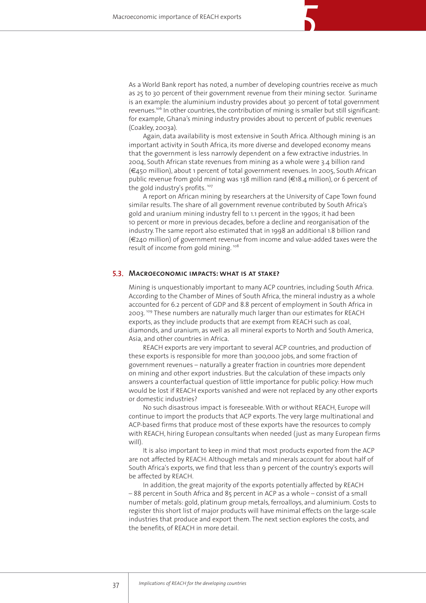As a World Bank report has noted, a number of developing countries receive as much as 25 to 30 percent of their government revenue from their mining sector. Suriname is an example: the aluminium industry provides about 30 percent of total government revenues.<sup>106</sup> In other countries, the contribution of mining is smaller but still significant: for example, Ghana's mining industry provides about 10 percent of public revenues (Coakley, 2003a).

*5*

Again, data availability is most extensive in South Africa. Although mining is an important activity in South Africa, its more diverse and developed economy means that the government is less narrowly dependent on a few extractive industries. In 2004, South African state revenues from mining as a whole were 3.4 billion rand (€450 million), about 1 percent of total government revenues. In 2005, South African public revenue from gold mining was 138 million rand (€18.4 million), or 6 percent of the gold industry's profits.<sup>107</sup>

A report on African mining by researchers at the University of Cape Town found similar results. The share of all government revenue contributed by South Africa's gold and uranium mining industry fell to 1.1 percent in the 1990s; it had been 10 percent or more in previous decades, before a decline and reorganisation of the industry. The same report also estimated that in 1998 an additional 1.8 billion rand (€240 million) of government revenue from income and value-added taxes were the result of income from gold mining.<sup>108</sup>

### **Macroeconomic impacts: what is at stake?5.3.**

Mining is unquestionably important to many ACP countries, including South Africa. According to the Chamber of Mines of South Africa, the mineral industry as a whole accounted for 6.2 percent of GDP and 8.8 percent of employment in South Africa in 2003. <sup>109</sup> These numbers are naturally much larger than our estimates for REACH exports, as they include products that are exempt from REACH such as coal, diamonds, and uranium, as well as all mineral exports to North and South America, Asia, and other countries in Africa.

REACH exports are very important to several ACP countries, and production of these exports is responsible for more than 300,000 jobs, and some fraction of government revenues – naturally a greater fraction in countries more dependent on mining and other export industries. But the calculation of these impacts only answers a counterfactual question of little importance for public policy: How much would be lost if REACH exports vanished and were not replaced by any other exports or domestic industries?

No such disastrous impact is foreseeable. With or without REACH, Europe will continue to import the products that ACP exports. The very large multinational and ACP-based firms that produce most of these exports have the resources to comply with REACH, hiring European consultants when needed (just as many European firms will).

It is also important to keep in mind that most products exported from the ACP are not affected by REACH. Although metals and minerals account for about half of South Africa's exports, we find that less than 9 percent of the country's exports will be affected by REACH.

In addition, the great majority of the exports potentially affected by REACH – 88 percent in South Africa and 85 percent in ACP as a whole – consist of a small number of metals: gold, platinum group metals, ferroalloys, and aluminium. Costs to register this short list of major products will have minimal effects on the large-scale industries that produce and export them. The next section explores the costs, and the benefits, of REACH in more detail.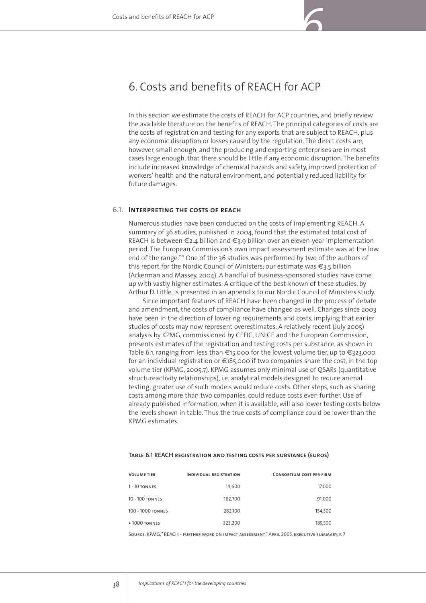# 6. Costs and benefits of REACH for ACP

In this section we estimate the costs of REACH for ACP countries, and briefly review the available literature on the benefits of REACH. The principal categories of costs are the costs of registration and testing for any exports that are subject to REACH, plus any economic disruption or losses caused by the regulation. The direct costs are, however, small enough, and the producing and exporting enterprises are in most cases large enough, that there should be little if any economic disruption. The benefits include increased knowledge of chemical hazards and safety, improved protection of workers' health and the natural environment, and potentially reduced liability for future damages.

### **Interpreting the costs of reach6.1.**

Numerous studies have been conducted on the costs of implementing REACH. A summary of 36 studies, published in 2004, found that the estimated total cost of REACH is between  $\epsilon_{2.4}$  billion and  $\epsilon_{3.9}$  billion over an eleven-year implementation period. The European Commission's own impact assessment estimate was at the low end of the range.<sup>110</sup> One of the 36 studies was performed by two of the authors of this report for the Nordic Council of Ministers; our estimate was €3.5 billion (Ackerman and Massey, 2004). A handful of business-sponsored studies have come up with vastly higher estimates. A critique of the best-known of these studies, by Arthur D. Little, is presented in an appendix to our Nordic Council of Ministers study.

Since important features of REACH have been changed in the process of debate and amendment, the costs of compliance have changed as well. Changes since 2003 have been in the direction of lowering requirements and costs, implying that earlier studies of costs may now represent overestimates. A relatively recent (July 2005) analysis by KPMG, commissioned by CEFIC, UNICE and the European Commission, presents estimates of the registration and testing costs per substance, as shown in Table 6.1, ranging from less than €15,000 for the lowest volume tier, up to €323,000 for an individual registration or  $\epsilon$ 185,000 if two companies share the cost, in the top volume tier (KPMG, 2005,7). KPMG assumes only minimal use of QSARs (quantitative structureactivity relationships), i.e. analytical models designed to reduce animal testing; greater use of such models would reduce costs. Other steps, such as sharing costs among more than two companies, could reduce costs even further. Use of already published information, when it is available, will also lower testing costs below the levels shown in table. Thus the true costs of compliance could be lower than the KPMG estimates.

#### **Table 6.1 REACH registration and testing costs per substance (euros)**

| <b>VOLUME TIER</b>                | <b>INDIVIDUAL REGISTRATION</b> | <b>CONSORTIUM COST PER FIRM</b> |
|-----------------------------------|--------------------------------|---------------------------------|
| $1 - 10$ TONNES                   | 14,600                         | 17,000                          |
| 10 - 100 TONNES                   | 162,700                        | 91,000                          |
| 100 - 1000 TONNES                 | 282,100                        | 154,500                         |
| $\blacktriangleright$ 1000 TONNES | 323,200                        | 185,500                         |
|                                   |                                |                                 |

Source: KPMG," REACH - further work on impact assessment," April 2005, executive summary, p. 7

38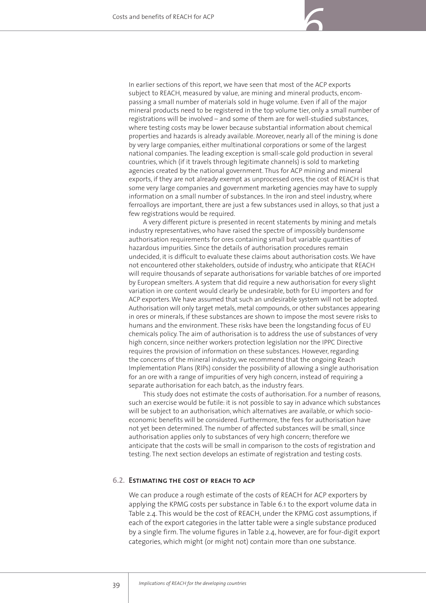

*6*

A very different picture is presented in recent statements by mining and metals industry representatives, who have raised the spectre of impossibly burdensome authorisation requirements for ores containing small but variable quantities of hazardous impurities. Since the details of authorisation procedures remain undecided, it is difficult to evaluate these claims about authorisation costs. We have not encountered other stakeholders, outside of industry, who anticipate that REACH will require thousands of separate authorisations for variable batches of ore imported by European smelters. A system that did require a new authorisation for every slight variation in ore content would clearly be undesirable, both for EU importers and for ACP exporters. We have assumed that such an undesirable system will not be adopted. Authorisation will only target metals, metal compounds, or other substances appearing in ores or minerals, if these substances are shown to impose the most severe risks to humans and the environment. These risks have been the longstanding focus of EU chemicals policy. The aim of authorisation is to address the use of substances of very high concern, since neither workers protection legislation nor the IPPC Directive requires the provision of information on these substances. However, regarding the concerns of the mineral industry, we recommend that the ongoing Reach Implementation Plans (RIPs) consider the possibility of allowing a single authorisation for an ore with a range of impurities of very high concern, instead of requiring a separate authorisation for each batch, as the industry fears.

This study does not estimate the costs of authorisation. For a number of reasons, such an exercise would be futile: it is not possible to say in advance which substances will be subject to an authorisation, which alternatives are available, or which socioeconomic benefits will be considered. Furthermore, the fees for authorisation have not yet been determined. The number of affected substances will be small, since authorisation applies only to substances of very high concern; therefore we anticipate that the costs will be small in comparison to the costs of registration and testing. The next section develops an estimate of registration and testing costs.

# **Estimating the cost of reach to acp 6.2.**

We can produce a rough estimate of the costs of REACH for ACP exporters by applying the KPMG costs per substance in Table 6.1 to the export volume data in Table 2.4. This would be the cost of REACH, under the KPMG cost assumptions, if each of the export categories in the latter table were a single substance produced by a single firm. The volume figures in Table 2.4, however, are for four-digit export categories, which might (or might not) contain more than one substance.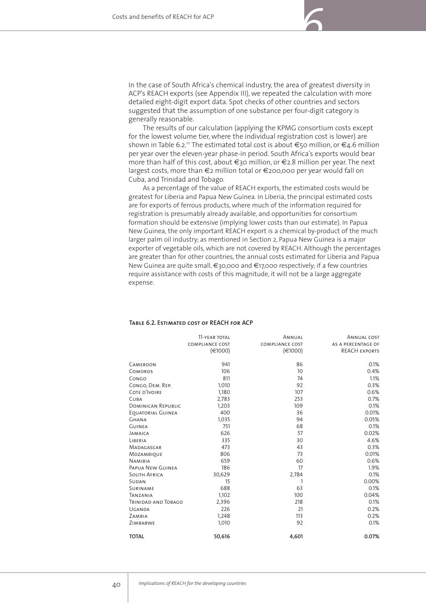

The results of our calculation (applying the KPMG consortium costs except for the lowest volume tier, where the individual registration cost is lower) are shown in Table 6.2.<sup>11</sup> The estimated total cost is about  $\epsilon$ 50 million, or  $\epsilon$ 4.6 million per year over the eleven-year phase-in period. South Africa's exports would bear more than half of this cost, about €30 million, or €2.8 million per year. The next largest costs, more than €2 million total or €200,000 per year would fall on Cuba, and Trinidad and Tobago.

As a percentage of the value of REACH exports, the estimated costs would be greatest for Liberia and Papua New Guinea. In Liberia, the principal estimated costs are for exports of ferrous products, where much of the information required for registration is presumably already available, and opportunities for consortium formation should be extensive (implying lower costs than our estimate). In Papua New Guinea, the only important REACH export is a chemical by-product of the much larger palm oil industry; as mentioned in Section 2, Papua New Guinea is a major exporter of vegetable oils, which are not covered by REACH. Although the percentages are greater than for other countries, the annual costs estimated for Liberia and Papua New Guinea are quite small, €30,000 and €17,000 respectively; if a few countries require assistance with costs of this magnitude, it will not be a large aggregate expense.

|                           | 11-YEAR TOTAL          | ANNUAL                 | ANNUAL COST          |
|---------------------------|------------------------|------------------------|----------------------|
|                           | <b>COMPLIANCE COST</b> | <b>COMPLIANCE COST</b> | AS A PERCENTAGE OF   |
|                           | (€1000)                | (€1000)                | <b>REACH EXPORTS</b> |
| CAMEROON                  | 941                    | 86                     | 0.1%                 |
| COMOROS                   | 106                    | 10                     | 0.4%                 |
| Congo                     | 811                    | 74                     | 1.1%                 |
| CONGO, DEM. REP.          | 1,010                  | 92                     | 0.3%                 |
| COTE D'IVOIRE             | 1,180                  | 107                    | 0.6%                 |
| CUBA                      | 2,783                  | 253                    | 0.7%                 |
| <b>DOMINICAN REPUBLIC</b> | 1,203                  | 109                    | 0.1%                 |
| EOUATORIAL GUINEA         | 400                    | 36                     | 0.01%                |
| Ghana                     | 1,035                  | 94                     | 0.05%                |
| Guinea                    | 751                    | 68                     | 0.1%                 |
| JAMAICA                   | 626                    | 57                     | 0.02%                |
| LIBERIA                   | 335                    | 30                     | 4.6%                 |
| MADAGASCAR                | 473                    | 43                     | 0.3%                 |
| Mozambique                | 806                    | 73                     | 0.01%                |
| <b>NAMIBIA</b>            | 659                    | 60                     | 0.6%                 |
| PAPUA NEW GUINEA          | 186                    | 17                     | 1.9%                 |
| <b>SOUTH AFRICA</b>       | 30,629                 | 2,784                  | 0.1%                 |
| SUDAN                     | 15                     |                        | 0.00%                |
| SURINAME                  | 688                    | 63                     | 0.1%                 |
| TANZANIA                  | 1,102                  | 100                    | 0.04%                |
| TRINIDAD AND TOBAGO       | 2,396                  | 218                    | 0.1%                 |
| UGANDA                    | 226                    | 21                     | 0.2%                 |
| ZAMBIA                    | 1,248                  | 113                    | 0.2%                 |
| ZIMBABWE                  | 1,010                  | 92                     | 0.1%                 |
| <b>TOTAL</b>              | 50,616                 | 4,601                  | 0.07%                |
|                           |                        |                        |                      |

#### **Table 6.2. Estimated cost of REACH for ACP**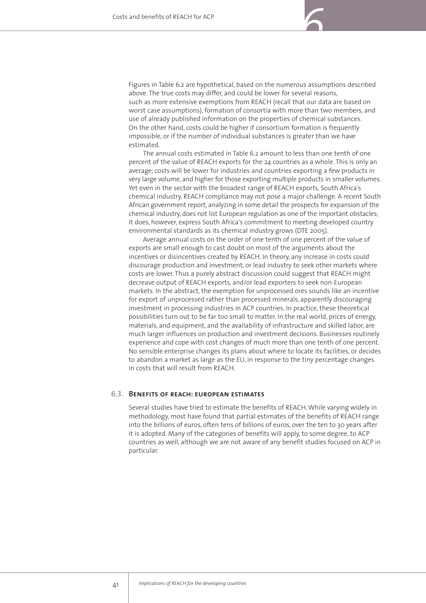Figures in Table 6.2 are hypothetical, based on the numerous assumptions described above. The true costs may differ, and could be lower for several reasons, such as more extensive exemptions from REACH (recall that our data are based on worst case assumptions), formation of consortia with more than two members, and use of already published information on the properties of chemical substances. On the other hand, costs could be higher if consortium formation is frequently impossible, or if the number of individual substances is greater than we have estimated.

*6*

The annual costs estimated in Table 6.2 amount to less than one tenth of one percent of the value of REACH exports for the 24 countries as a whole. This is only an average; costs will be lower for industries and countries exporting a few products in very large volume, and higher for those exporting multiple products in smaller volumes. Yet even in the sector with the broadest range of REACH exports, South Africa's chemical industry, REACH compliance may not pose a major challenge. A recent South African government report, analyzing in some detail the prospects for expansion of the chemical industry, does not list European regulation as one of the important obstacles; it does, however, express South Africa's commitment to meeting developed country environmental standards as its chemical industry grows (DTE 2005).

Average annual costs on the order of one tenth of one percent of the value of exports are small enough to cast doubt on most of the arguments about the incentives or disincentives created by REACH. In theory, any increase in costs could discourage production and investment, or lead industry to seek other markets where costs are lower. Thus a purely abstract discussion could suggest that REACH might decrease output of REACH exports, and/or lead exporters to seek non-European markets. In the abstract, the exemption for unprocessed ores sounds like an incentive for export of unprocessed rather than processed minerals, apparently discouraging investment in processing industries in ACP countries. In practice, these theoretical possibilities turn out to be far too small to matter. In the real world, prices of energy, materials, and equipment, and the availability of infrastructure and skilled labor, are much larger influences on production and investment decisions. Businesses routinely experience and cope with cost changes of much more than one tenth of one percent. No sensible enterprise changes its plans about where to locate its facilities, or decides to abandon a market as large as the EU, in response to the tiny percentage changes in costs that will result from REACH.

### **Benefits of reach: european estimates 6.3.**

Several studies have tried to estimate the benefits of REACH. While varying widely in methodology, most have found that partial estimates of the benefits of REACH range into the billions of euros, often tens of billions of euros, over the ten to 30 years after it is adopted. Many of the categories of benefits will apply, to some degree, to ACP countries as well, although we are not aware of any benefit studies focused on ACP in particular.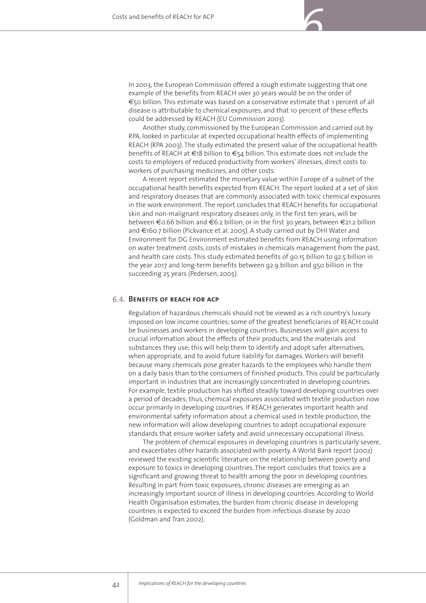In 2003, the European Commission offered a rough estimate suggesting that one example of the benefits from REACH over 30 years would be on the order of €50 billion. This estimate was based on a conservative estimate that 1 percent of all disease is attributable to chemical exposures, and that 10 percent of these effects could be addressed by REACH (EU Commission 2003).

*6*

Another study, commissioned by the European Commission and carried out by RPA, looked in particular at expected occupational health effects of implementing REACH (RPA 2003). The study estimated the present value of the occupational health benefits of REACH at €18 billion to €54 billion. This estimate does not include the costs to employers of reduced productivity from workers' illnesses, direct costs to workers of purchasing medicines, and other costs.

A recent report estimated the monetary value within Europe of a subset of the occupational health benefits expected from REACH. The report looked at a set of skin and respiratory diseases that are commonly associated with toxic chemical exposures in the work environment. The report concludes that REACH benefits for occupational skin and non-malignant respiratory diseases only, in the first ten years, will be between €0.66 billion and €6.2 billion; or in the first 30 years, between €21.2 billion and €160.7 billion (Pickvance et al. 2005). A study carried out by DHI Water and Environment for DG Environment estimated benefits from REACH using information on water treatment costs, costs of mistakes in chemicals management from the past, and health care costs. This study estimated benefits of go.15 billion to g2.5 billion in the year 2017 and long-term benefits between ¤2.9 billion and ¤50 billion in the succeeding 25 years (Pedersen, 2005).

### **Benefits of reach for acp 6.4.**

Regulation of hazardous chemicals should not be viewed as a rich country's luxury imposed on low income countries; some of the greatest beneficiaries of REACH could be businesses and workers in developing countries. Businesses will gain access to crucial information about the effects of their products, and the materials and substances they use; this will help them to identify and adopt safer alternatives, when appropriate, and to avoid future liability for damages. Workers will benefit because many chemicals pose greater hazards to the employees who handle them on a daily basis than to the consumers of finished products. This could be particularly important in industries that are increasingly concentrated in developing countries. For example, textile production has shifted steadily toward developing countries over a period of decades; thus, chemical exposures associated with textile production now occur primarily in developing countries. If REACH generates important health and environmental safety information about a chemical used in textile production, the new information will allow developing countries to adopt occupational exposure standards that ensure worker safety and avoid unnecessary occupational illness.

The problem of chemical exposures in developing countries is particularly severe, and exacerbates other hazards associated with poverty. A World Bank report (2002) reviewed the existing scientific literature on the relationship between poverty and exposure to toxics in developing countries. The report concludes that toxics are a significant and growing threat to health among the poor in developing countries. Resulting in part from toxic exposures, chronic diseases are emerging as an increasingly important source of illness in developing countries. According to World Health Organisation estimates, the burden from chronic disease in developing countries is expected to exceed the burden from infectious disease by 2020 (Goldman and Tran 2002).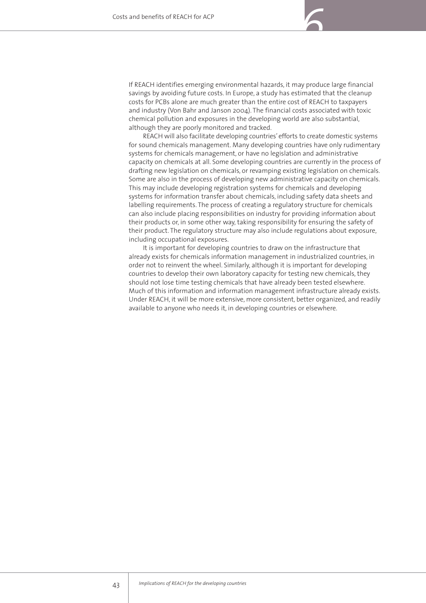If REACH identifies emerging environmental hazards, it may produce large financial savings by avoiding future costs. In Europe, a study has estimated that the cleanup costs for PCBs alone are much greater than the entire cost of REACH to taxpayers and industry (Von Bahr and Janson 2004). The financial costs associated with toxic chemical pollution and exposures in the developing world are also substantial, although they are poorly monitored and tracked.

REACH will also facilitate developing countries' efforts to create domestic systems for sound chemicals management. Many developing countries have only rudimentary systems for chemicals management, or have no legislation and administrative capacity on chemicals at all. Some developing countries are currently in the process of drafting new legislation on chemicals, or revamping existing legislation on chemicals. Some are also in the process of developing new administrative capacity on chemicals. This may include developing registration systems for chemicals and developing systems for information transfer about chemicals, including safety data sheets and labelling requirements. The process of creating a regulatory structure for chemicals can also include placing responsibilities on industry for providing information about their products or, in some other way, taking responsibility for ensuring the safety of their product. The regulatory structure may also include regulations about exposure, including occupational exposures.

It is important for developing countries to draw on the infrastructure that already exists for chemicals information management in industrialized countries, in order not to reinvent the wheel. Similarly, although it is important for developing countries to develop their own laboratory capacity for testing new chemicals, they should not lose time testing chemicals that have already been tested elsewhere. Much of this information and information management infrastructure already exists. Under REACH, it will be more extensive, more consistent, better organized, and readily available to anyone who needs it, in developing countries or elsewhere.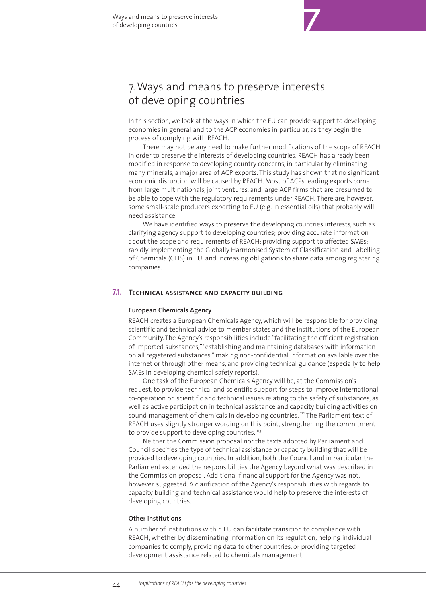# 7.Ways and means to preserve interests of developing countries

In this section, we look at the ways in which the EU can provide support to developing economies in general and to the ACP economies in particular, as they begin the process of complying with REACH.

There may not be any need to make further modifications of the scope of REACH in order to preserve the interests of developing countries. REACH has already been modified in response to developing country concerns, in particular by eliminating many minerals, a major area of ACP exports. This study has shown that no significant economic disruption will be caused by REACH. Most of ACPs leading exports come from large multinationals, joint ventures, and large ACP firms that are presumed to be able to cope with the regulatory requirements under REACH. There are, however, some small-scale producers exporting to EU (e.g. in essential oils) that probably will need assistance.

We have identified ways to preserve the developing countries interests, such as clarifying agency support to developing countries; providing accurate information about the scope and requirements of REACH; providing support to affected SMEs; rapidly implementing the Globally Harmonised System of Classification and Labelling of Chemicals (GHS) in EU; and increasing obligations to share data among registering companies.

# **7.1. TECHNICAL ASSISTANCE AND CAPACITY BUILDING**

#### **European Chemicals Agency**

REACH creates a European Chemicals Agency, which will be responsible for providing scientific and technical advice to member states and the institutions of the European Community. The Agency's responsibilities include "facilitating the efficient registration of imported substances,""establishing and maintaining databases with information on all registered substances," making non-confidential information available over the internet or through other means, and providing technical guidance (especially to help SMEs in developing chemical safety reports).

One task of the European Chemicals Agency will be, at the Commission's request, to provide technical and scientific support for steps to improve international co-operation on scientific and technical issues relating to the safety of substances, as well as active participation in technical assistance and capacity building activities on sound management of chemicals in developing countries.<sup>112</sup> The Parliament text of REACH uses slightly stronger wording on this point, strengthening the commitment to provide support to developing countries.<sup>113</sup>

Neither the Commission proposal nor the texts adopted by Parliament and Council specifies the type of technical assistance or capacity building that will be provided to developing countries. In addition, both the Council and in particular the Parliament extended the responsibilities the Agency beyond what was described in the Commission proposal. Additional financial support for the Agency was not, however, suggested. A clarification of the Agency's responsibilities with regards to capacity building and technical assistance would help to preserve the interests of developing countries.

#### **Other institutions**

A number of institutions within EU can facilitate transition to compliance with REACH, whether by disseminating information on its regulation, helping individual companies to comply, providing data to other countries, or providing targeted development assistance related to chemicals management.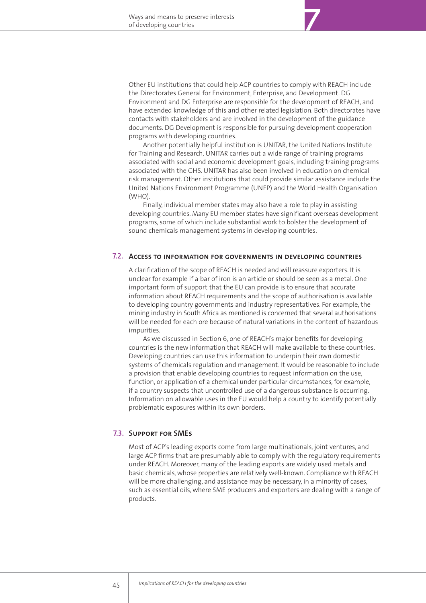Other EU institutions that could help ACP countries to comply with REACH include the Directorates General for Environment, Enterprise, and Development. DG Environment and DG Enterprise are responsible for the development of REACH, and have extended knowledge of this and other related legislation. Both directorates have contacts with stakeholders and are involved in the development of the guidance documents. DG Development is responsible for pursuing development cooperation programs with developing countries.

*7*

Another potentially helpful institution is UNITAR, the United Nations Institute for Training and Research. UNITAR carries out a wide range of training programs associated with social and economic development goals, including training programs associated with the GHS. UNITAR has also been involved in education on chemical risk management. Other institutions that could provide similar assistance include the United Nations Environment Programme (UNEP) and the World Health Organisation (WHO).

Finally, individual member states may also have a role to play in assisting developing countries. Many EU member states have significant overseas development programs, some of which include substantial work to bolster the development of sound chemicals management systems in developing countries.

## **Access to information for governments in developing countries7.2.**

A clarification of the scope of REACH is needed and will reassure exporters. It is unclear for example if a bar of iron is an article or should be seen as a metal. One important form of support that the EU can provide is to ensure that accurate information about REACH requirements and the scope of authorisation is available to developing country governments and industry representatives. For example, the mining industry in South Africa as mentioned is concerned that several authorisations will be needed for each ore because of natural variations in the content of hazardous impurities.

As we discussed in Section 6, one of REACH's major benefits for developing countries is the new information that REACH will make available to these countries. Developing countries can use this information to underpin their own domestic systems of chemicals regulation and management. It would be reasonable to include a provision that enable developing countries to request information on the use, function, or application of a chemical under particular circumstances, for example, if a country suspects that uncontrolled use of a dangerous substance is occurring. Information on allowable uses in the EU would help a country to identify potentially problematic exposures within its own borders.

### **Support for SMEs 7.3.**

Most of ACP's leading exports come from large multinationals, joint ventures, and large ACP firms that are presumably able to comply with the regulatory requirements under REACH. Moreover, many of the leading exports are widely used metals and basic chemicals, whose properties are relatively well-known. Compliance with REACH will be more challenging, and assistance may be necessary, in a minority of cases, such as essential oils, where SME producers and exporters are dealing with a range of products.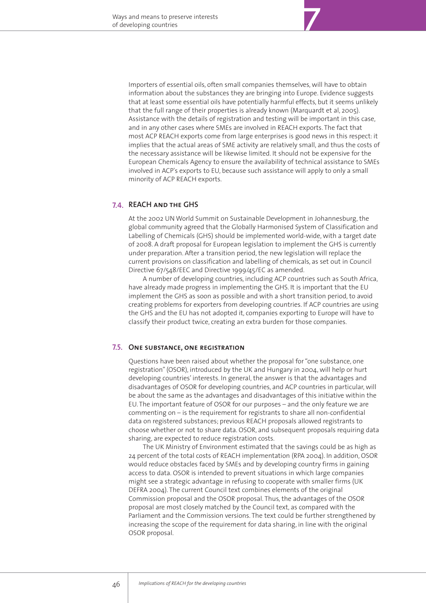Importers of essential oils, often small companies themselves, will have to obtain information about the substances they are bringing into Europe. Evidence suggests that at least some essential oils have potentially harmful effects, but it seems unlikely that the full range of their properties is already known (Marquardt et al, 2005). Assistance with the details of registration and testing will be important in this case, and in any other cases where SMEs are involved in REACH exports. The fact that most ACP REACH exports come from large enterprises is good news in this respect: it implies that the actual areas of SME activity are relatively small, and thus the costs of the necessary assistance will be likewise limited. It should not be expensive for the European Chemicals Agency to ensure the availability of technical assistance to SMEs involved in ACP's exports to EU, because such assistance will apply to only a small minority of ACP REACH exports.

## **REACH and the GHS7.4.**

At the 2002 UN World Summit on Sustainable Development in Johannesburg, the global community agreed that the Globally Harmonised System of Classification and Labelling of Chemicals (GHS) should be implemented world-wide, with a target date of 2008. A draft proposal for European legislation to implement the GHS is currently under preparation. After a transition period, the new legislation will replace the current provisions on classification and labelling of chemicals, as set out in Council Directive 67/548/EEC and Directive 1999/45/EC as amended.

A number of developing countries, including ACP countries such as South Africa, have already made progress in implementing the GHS. It is important that the EU implement the GHS as soon as possible and with a short transition period, to avoid creating problems for exporters from developing countries. If ACP countries are using the GHS and the EU has not adopted it, companies exporting to Europe will have to classify their product twice, creating an extra burden for those companies.

# **One substance, one registration 7.5.**

Questions have been raised about whether the proposal for "one substance, one registration" (OSOR), introduced by the UK and Hungary in 2004, will help or hurt developing countries' interests. In general, the answer is that the advantages and disadvantages of OSOR for developing countries, and ACP countries in particular, will be about the same as the advantages and disadvantages of this initiative within the EU. The important feature of OSOR for our purposes – and the only feature we are commenting on – is the requirement for registrants to share all non-confidential data on registered substances; previous REACH proposals allowed registrants to choose whether or not to share data. OSOR, and subsequent proposals requiring data sharing, are expected to reduce registration costs.

The UK Ministry of Environment estimated that the savings could be as high as 24 percent of the total costs of REACH implementation (RPA 2004). In addition, OSOR would reduce obstacles faced by SMEs and by developing country firms in gaining access to data. OSOR is intended to prevent situations in which large companies might see a strategic advantage in refusing to cooperate with smaller firms (UK DEFRA 2004). The current Council text combines elements of the original Commission proposal and the OSOR proposal. Thus, the advantages of the OSOR proposal are most closely matched by the Council text, as compared with the Parliament and the Commission versions. The text could be further strengthened by increasing the scope of the requirement for data sharing, in line with the original OSOR proposal.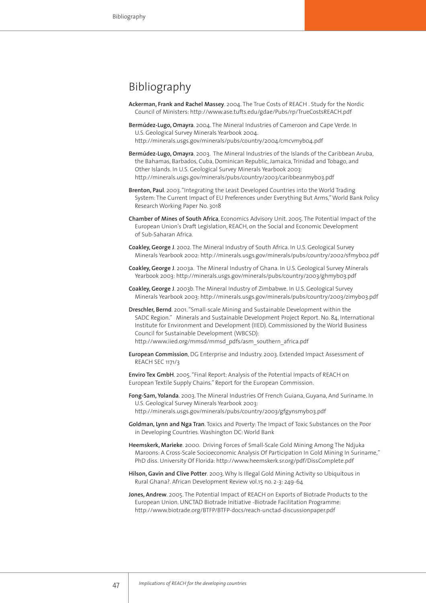# Bibliography

- **Ackerman, Frank and Rachel Massey**. 2004. The True Costs of REACH . Study for the Nordic Council of Ministers: http://www.ase.tufts.edu/gdae/Pubs/rp/TrueCostsREACH.pdf
- **Bermúdez-Lugo, Omayra**. 2004. The Mineral Industries of Cameroon and Cape Verde. In U.S. Geological Survey Minerals Yearbook 2004. http://minerals.usgs.gov/minerals/pubs/country/2004/cmcvmyb04.pdf
- **Bermúdez-Lugo, Omayra**. 2003. The Mineral Industries of the Islands of the Caribbean Aruba, the Bahamas, Barbados, Cuba, Dominican Republic, Jamaica, Trinidad and Tobago, and Other Islands. In U.S. Geological Survey Minerals Yearbook 2003: http://minerals.usgs.gov/minerals/pubs/country/2003/caribbeanmyb03.pdf
- **Brenton, Paul**. 2003. "Integrating the Least Developed Countries into the World Trading System: The Current Impact of EU Preferences under Everything But Arms," World Bank Policy Research Working Paper No. 3018
- **Chamber of Mines of South Africa**, Economics Advisory Unit. 2005. The Potential Impact of the European Union's Draft Legislation, REACH, on the Social and Economic Development of Sub-Saharan Africa.
- **Coakley, George J**. 2002. The Mineral Industry of South Africa. In U.S. Geological Survey Minerals Yearbook 2002: http://minerals.usgs.gov/minerals/pubs/country/2002/sfmyb02.pdf
- **Coakley, George J**. 2003a. The Mineral Industry of Ghana. In U.S. Geological Survey Minerals Yearbook 2003: http://minerals.usgs.gov/minerals/pubs/country/2003/ghmyb03.pdf
- **Coakley, George J**. 2003b. The Mineral Industry of Zimbabwe. In U.S. Geological Survey Minerals Yearbook 2003: http://minerals.usgs.gov/minerals/pubs/country/2003/zimyb03.pdf
- **Dreschler, Bernd**. 2001. "Small-scale Mining and Sustainable Development within the SADC Region." Minerals and Sustainable Development Project Report. No. 84, International Institute for Environment and Development (IIED). Commissioned by the World Business Council for Sustainable Development (WBCSD): http://www.iied.org/mmsd/mmsd\_pdfs/asm\_southern\_africa.pdf
- **European Commission**, DG Enterprise and Industry. 2003. Extended Impact Assessment of REACH SEC 1171/3

**Enviro Tex GmbH**. 2005. "Final Report: Analysis of the Potential Impacts of REACH on European Textile Supply Chains." Report for the European Commission.

- **Fong-Sam, Yolanda**. 2003. The Mineral Industries Of French Guiana, Guyana, And Suriname. In U.S. Geological Survey Minerals Yearbook 2003: http://minerals.usgs.gov/minerals/pubs/country/2003/gfgynsmyb03.pdf
- **Goldman, Lynn and Nga Tran**. Toxics and Poverty: The Impact of Toxic Substances on the Poor in Developing Countries. Washington DC: World Bank
- **Heemskerk, Marieke**. 2000. Driving Forces of Small-Scale Gold Mining Among The Ndjuka Maroons: A Cross-Scale Socioeconomic Analysis Of Participation In Gold Mining In Suriname," PhD diss. University Of Florida: http://www.heemskerk.sr.org/pdf/DissComplete.pdf
- **Hilson, Gavin and Clive Potter**. 2003. Why Is Illegal Gold Mining Activity so Ubiquitous in Rural Ghana?. African Development Review vol.15 no. 2-3: 249-64
- **Jones, Andrew**. 2005. The Potential Impact of REACH on Exports of Biotrade Products to the European Union. UNCTAD Biotrade Initiative -Biotrade Facilitation Programme: http://www.biotrade.org/BTFP/BTFP-docs/reach-unctad-discussionpaper.pdf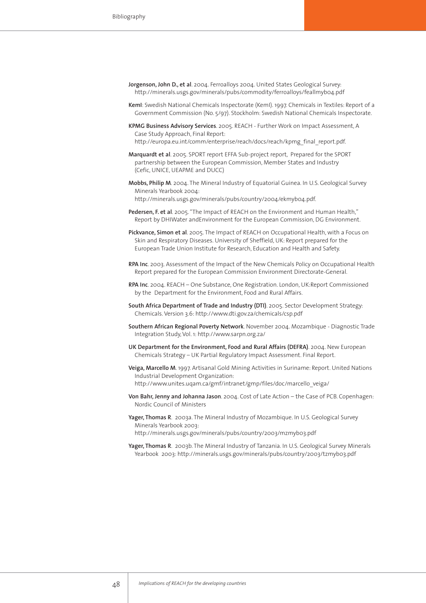- **Jorgenson, John D., et al**. 2004. Ferroalloys 2004. United States Geological Survey: http://minerals.usgs.gov/minerals/pubs/commodity/ferroalloys/feallmyb04.pdf
- **KemI**: Swedish National Chemicals Inspectorate (KemI). 1997. Chemicals in Textiles: Report of a Government Commission (No. 5/97). Stockholm: Swedish National Chemicals Inspectorate.
- **KPMG Business Advisory Services**. 2005. REACH Further Work on Impact Assessment, A Case Study Approach, Final Report:
	- http://europa.eu.int/comm/enterprise/reach/docs/reach/kpmg\_final\_report.pdf.
- **Marquardt et al**. 2005. SPORT report EFFA Sub-project report, Prepared for the SPORT partnership between the European Commission, Member States and Industry (Cefic, UNICE, UEAPME and DUCC)
- **Mobbs, Philip M**. 2004. The Mineral Industry of Equatorial Guinea. In U.S. Geological Survey Minerals Yearbook 2004:
	- http://minerals.usgs.gov/minerals/pubs/country/2004/ekmyb04.pdf.
- **Pedersen, F. et al**. 2005. "The Impact of REACH on the Environment and Human Health," Report by DHIWater andEnvironment for the European Commission, DG Environment.
- **Pickvance, Simon et al**. 2005. The Impact of REACH on Occupational Health, with a Focus on Skin and Respiratory Diseases. University of Sheffield, UK: Report prepared for the European Trade Union Institute for Research, Education and Health and Safety.
- **RPA Inc**. 2003. Assessment of the Impact of the New Chemicals Policy on Occupational Health Report prepared for the European Commission Environment Directorate-General.
- **RPA Inc**. 2004. REACH One Substance, One Registration. London, UK:Report Commissioned by the Department for the Environment, Food and Rural Affairs.
- **South Africa Department of Trade and Industry (DTI)**. 2005. Sector Development Strategy: Chemicals. Version 3.6: http://www.dti.gov.za/chemicals/csp.pdf
- **Southern African Regional Poverty Network**. November 2004. Mozambique Diagnostic Trade Integration Study, Vol. 1: http://www.sarpn.org.za/
- **UK Department for the Environment, Food and Rural Affairs (DEFRA)**. 2004. New European Chemicals Strategy – UK Partial Regulatory Impact Assessment. Final Report.
- **Veiga, Marcello M**. 1997. Artisanal Gold Mining Activities in Suriname: Report. United Nations Industrial Development Organization: http://www.unites.uqam.ca/gmf/intranet/gmp/files/doc/marcello\_veiga/
- **Von Bahr, Jenny and Johanna Jason**. 2004. Cost of Late Action the Case of PCB. Copenhagen: Nordic Council of Ministers
- **Yager, Thomas R**. 2003a. The Mineral Industry of Mozambique. In U.S. Geological Survey Minerals Yearbook 2003:

http://minerals.usgs.gov/minerals/pubs/country/2003/mzmyb03.pdf

**Yager, Thomas R**. 2003b. The Mineral Industry of Tanzania. In U.S. Geological Survey Minerals Yearbook 2003: http://minerals.usgs.gov/minerals/pubs/country/2003/tzmyb03.pdf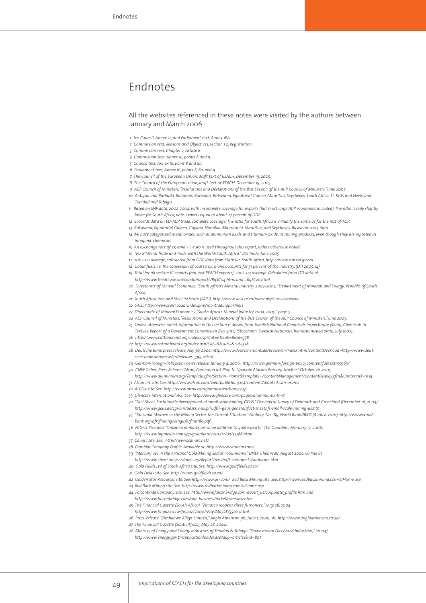# Endnotes

#### All the websites referenced in these notes were visited by the authors between January and March 2006.

- *1 See Council, Annex 1c, and Parliament text, Annex 1BA.*
- *2 Commission text, Reasons and Objectives, section 1.2: Registration.*
- *3 Commission text, Chapter 2, Article 8.*
- *4 Commission text, Annex III, points 8 and 9.*
- *5 Council text, Annex III, point 8 and 8a.*
- *6 Parliament text, Annex III, points 8, 8a, and 9.*
- *7 The Council of the European Union, draft text of REACH, December 19, 2005.*
- *8 The Council of the European Union, draft text of REACH, December 19, 2005.*
- *9 ACP Council of Ministers, "Resolutions and Declarations of the 81st Session of the ACP Council of Ministers,"June 2005.*
- *10 Antigua and Barbuda, Bahamas, Barbados, Botswana, Equatorial Guinea, Mauritius, Seychelles, South Africa, St. Kitts and Nevis, and Trinidad and Tobago.*
- *11 Based on IMF data, 2002-2004, with incomplete coverage for exports (but most large ACP economies included). The ratio is only slightly lower for South Africa, with exports equal to about 27 percent of GDP.*
- *12 Eurostat data on EU-ACP trade, complete coverage. The ratio for South Africa is virtually the same as for the rest of ACP.*
- *13 Botswana, Equatorial Guinea, Guyana, Namibia, Mauritania, Mauritius, and Seychelles. Based on 2004 data.*
- *14 We have categorized metal oxides, such as aluminium oxide and titanium oxide, as mining products, even though they are reported as inorganic chemicals.*
- *15 An exchange rate of 7.5 rand = 1 euro is used throughout this report, unless otherwise noted.*
- *16 "EU Bilateral Trade and Trade with the World: South Africa," DG Trade, June 2005.*
- *17 2002-04 average, calculated from GDP data from Statistics South Africa, http://www.statssa.gov.za.*
- *18 Liquid fuels, i.e. the conversion of coal to oil, alone accounts for 31 percent of the industry. (DTI 2005, 14)*
- *19 Total for all section VI exports (not just REACH exports), 2002-04 average. Calculated from DTI data at*
- *http://www.thedti.gov.za/econdb/raportt/RgSC04.html and ...RgSC20.html.*
- *20 Directorate of Mineral Economics, "South Africa's Mineral Industry 2004-2005," Department of Minerals and Energy, Republic of South Africa.*
- *21 South Africa Iron and Steel Institute (SAISI), http://www.saisi.co.za/index.php?inc=overview*
- *22 SAISI, http://www.saisi.co.za/index.php?inc=tradingpartners*
- *23 Directorate of Mineral Economics, "South Africa's Mineral Industry 2004-2005," page 5.*
- *24 ACP Council of Ministers, "Resolutions and Declarations of the 81st Session of the ACP Council of Ministers,"June 2005.*
- *25 Unless otherwise noted, information in this section is drawn from Swedish National Chemicals Inspectorate (KemI), Chemicals in*
- *Textiles: Report of a Government Commission (No. 5/97) (Stockholm: Swedish National Chemicals Inspectorate, July 1997). 26 http://www.cottonboard.org/index.asp?Cat=6&sub=&cid=378*
- *27 http://www.cottonboard.org/index.asp?Cat=6&sub=&cid=378*
- *28 Deutsche Bank press release, July 30, 2002: http://www.deutsche-bank.de/presse/en/index.html?contentOverload=http://www.deutsche-bank.de/presse/en/releases\_799.shtml*
- *29 German-Foreign-Policy.com news release, January 4, 2006: http://www.german-foreign-policy.com/en/fulltext/55963/*
- *30 CNW Telbec, Press Release: "Alcan, Cameroon Ink Plan to Upgrade Alucam Primary Smelter," October 26, 2005.*
- *http://www.aluminium.org/Template.cfm?Section=Home&template=/ContentManagement/ContentDisplay.cfm&ContentID=9174*
- *31 Alcan Inc site. See: http://www.alcan.com/web/publishing.nsf/content/About+Alcan+Home*
- *32 ALCOA site. See: http://www.alcoa.com/jamaica/en/home.asp*
- *33 Glencore International AG. See: http://www.glencore.com/pages/aluminium.htm#*
- *34 "Fact Sheet, Sustainable development of small-scale mining, GEUS," Geological Survey of Denmark and Greenland (December 16, 2004): http://www.geus.dk/cgi-bin/udskriv-uk.pl?udfil=geus-general/fact-sheets,fs-small-scale-mining-uk.htm*
- *35 "Tanzania: Women in the Mining Sector, the Current Situation." Findings No. 189, World Bank/IBRD (August 2001): http://www.worldbank.org/afr/findings/english/find189.pdf*
- *36 Patrick Kisembo, "Tanzania embarks on value addition to gold exports," The Guardian, February 12, 2006: http://www.ippmedia.com/ipp/guardian/2005/12/02/55188.html*
- *37 Canarc site. See: http://www.canarc.net/*
- *38 Cambior Company Profile. Available at: http://www.cambior.com/*
- *39 "Mercury use in the Artisanal Gold Mining Sector in Suriname" UNEP Chemicals, August 2002. Online at*
- *http://www.chem.unep.ch/mercury/Report/rev-draft-comments/suriname.htm*
- *40 Gold Fields Ltd of South Africa site. See: http://www.goldfields.co.za/*
- *41 Gold Fields site. See: http://www.goldfields.co.za/*
- *42 Golden Star Resources site. See: http://www.gsr.com/ Red Back Mining site. See: http://www.redbackmining.com/s/Home.asp*
- *43 Red Back Mining site. See: http://www.redbackmining.com/s/Home.asp*
- *44 Falconbride Company site. See: http://www.falconbridge.com/about\_us/corporate\_profile.htm and http://www.falconbridge.com/our\_business/nickel/overview.htm*
- *45 The Financial Gazette (South Africa), "Zimasco reopens three furnances," May 28, 2004.*
- *http://www.fingaz.co.zw/fingaz/2004/May/May28/5526.shtml*
- *46 Press Release, "Zimbabwe Alloys Limited," Anglo American plc, June 1, 2005. At: http://www.angloamerican.co.uk/*
- *47 The Financial Gazette (South Africa), May 28, 2004.*
- *48 Ministry of Energy and Energy Industries of Trinidad & Tobago. "Downstream Gas Based Industries," (2004).*
- *http://www.energy.gov.tt/applicationloader.asp?app=articles&id=807*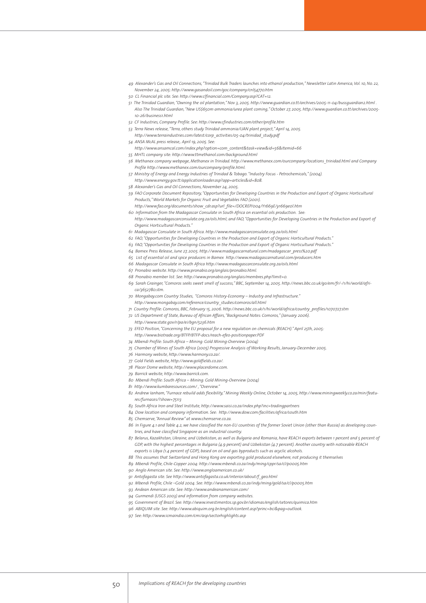- *49 Alexander's Gas and Oil Connections, "Trinidad Bulk Traders launches into ethanol production," Newsletter Latin America, Vol. 10, No. 22, November 24, 2005: http://www.gasandoil.com/goc/company/cnl54770.htm*
- *50 CL Financial plc site. See: http://www.clfinancial.com/Company.asp?CAT=12.*
- *51 The Trinidad Guardian, "Owning the oil plantation," Nov 3, 2005. http://www.guardian.co.tt/archives/2005-11-04/bussguardian2.html . Also The Trinidad Guardian, "New US\$650m ammonia/urea plant coming," October 27, 2005. http://www.guardian.co.tt/archives/2005- 10-26/business1.html*
- *52 CF Industries, Company Profile. See: http://www.cfindustries.com/other/profile.htm*
- *53 Terra News release, "Terra, others study Trinidad ammonia/UAN plant project," April 14, 2005.*
- *http://www.terraindustries.com/latest/corp\_activities/05-04/trinidad\_study.pdf 54 ANSA McAL press release,. April 19, 2005. See:*
- *http://www.ansamcal.com/index.php?option=com\_content&task=view&id=56&Itemid=66*
- *55 MHTL company site: http://www.ttmethanol.com/background.html*
- *56 Methanex company webpage, Methanex in Trinidad. http://www.methanex.com/ourcompany/locations\_trinidad.html and Company Profile http://www.methanex.com/ourcompany/profile.html.*
- *57 Ministry of Energy and Energy Industries of Trinidad & Tobago. "Industry Focus Petrochemicals," (2004).*
- *http://www.energy.gov.tt/applicationloader.asp?app=articles&id=808.*
- *58 Alexander's Gas and Oil Connections, November 24, 2005.*
- *59 FAO Corporate Document Repository, "Opportunities for Developing Countries in the Production and Export of Organic Horticultural Products," World Markets for Organic Fruit and Vegetables FAO (2001).*
- *http://www.fao.org/documents/show\_cdr.asp?url\_file=/DOCREP/004/Y1669E/y1669e0l.htm 60 Information from the Madagascar Consulate in South Africa on essential oils production. See:*
- *http://www.madagascarconsulate.org.za/oils.html; and FAO, "Opportunities for Developing Countries in the Production and Export of Organic Horticultural Products."*
- *61 Madagascar Consulate in South Africa. http://www.madagascarconsulate.org.za/oils.html*
- *62 FAO, "Opportunities for Developing Countries in the Production and Export of Organic Horticultural Products."*
- *63 FAO, "Opportunities for Developing Countries in the Production and Export of Organic Horticultural Products."*
- *64 Bamex Press Release, June 27, 2005. http://www.madagascarnatural.com/madagascar\_press%20.pdf*
- *65 List of essential oil and spice producers in Bamex http://www.madagascarnatural.com/producers.htm*
- *66 Madagascar Consulate in South Africa http://www.madagascarconsulate.org.za/oils.html*
- *67 Pronabio website. http://www.pronabio.org/anglais/pronabio.html.*
- *68 Pronabio member list. See: http://www.pronabio.org/anglais/membres.php?limit=0.*
- *69 Sarah Grainger, "Comoros seeks sweet smell of success," BBC, September 14, 2005. http://news.bbc.co.uk/go/em/fr/-/1/hi/world/africa/3652780.stm.*
- *70 Mongabay.com Country Studies, "Comoros History-Economy Industry and Infrastructure." http://www.mongabay.com/reference/country\_studies/comoros/all.html*
- 
- *71 Country Profile: Comoros, BBC, February 15, 2006. http://news.bbc.co.uk/1/hi/world/africa/country\_profiles/1070727.stm*
- *72 US Department of State, Bureau of African Affairs, "Background Notes: Comoros," (January 2006).*
	- *http://www.state.gov/r/pa/ei/bgn/5236.htm*
- *73 EFEO Position, "Concerning the EU proposal for a new regulation on chemicals (REACH)." April 25th, 2005: http://www.biotrade.org/BTFP/BTFP-docs/reach-efeo-positionpaper.PDF*
- *74 Mbendi Profile: South Africa Mining: Gold Mining-Overview (2004)*
- *75 Chamber of Mines of South Africa (2005) Progressive Analysis of Working Results, January-December 2005.*
- *76 Harmony website, http://www.harmony.co.za/.*
- *77 Gold Fields website, http://www.goldfields.co.za/.*
- *78 Placer Dome website, http://www.placerdome.com.*
- *79 Barrick website, http://www.barrick.com.*
- *80 Mbendi Profile: South Africa Mining: Gold Mining-Overview (2004)*
- *81 http://www.kumbaresources.com/ , "Overview."*
- *82 Andrew Ianham, "Furnace rebuild adds flexibility," Mining Weekly Online, October 14, 2005, http://www.miningweekly.co.za/min/features/furnaces/?show=75113*
- *83 South Africa Iron and Steel Institute, http://www.saisi.co.za/index.php?inc=tradingpartners*
- *84 Dow location and company information. See: http://www.dow.com/facilities/africa/south.htm*
- *85 Chemserve, "Annual Review" at www.chemserve.co.za.*
- *86 In Figure 4.1 and Table 4.2, we have classified the non-EU countries of the former Soviet Union (other than Russia) as developing countries, and have classified Singapore as an industrial country.*
- *87 Belarus, Kazakhstan, Ukraine, and Uzbekistan, as well as Bulgaria and Romania, have REACH exports between 1 percent and 5 percent of GDP, with the highest percentages in Bulgaria (4.9 percent) and Uzbekistan (4.7 percent). Another country with noticeable REACH exports is Libya (1.4 percent of GDP), based on oil and gas byproducts such as acyclic alcohols.*
- *88 This assumes that Switzerland and Hong Kong are exporting gold produced elsewhere, not producing it themselves*
- *89 Mbendi Profile, Chile-Copper 2004: http://www.mbendi.co.za/indy/ming/cppr/sa/cl/p0005.htm*
- *90 Anglo American site. See: http://www.angloamerican.co.uk/*
- *91 Antofagasta site. See http://www.antofagasta.co.uk/interior/about/f\_geo.html*
- *92 Mbendi Profile, Chile –Gold 2004. See: http://www.mbendi.co.za/indy/ming/gold/sa/cl/p0005.htm*
- *93 Andean American site. See: http://www.andeanamerican.com/*
- *94 Gurmendi (USGS 2003) and information from company websites.*
- *95 Government of Brazil. See: http://www.investimentos.sp.gov.br/idiomas/english/setores/quimica.htm*
- *96 ABIQUIM site. See: http://www.abiquim.org.br/english/content.asp?princ=bci&pag=outlook.*
- *97 See: http://www.icmaindia.com/cmi/asp/sectorhighlights.asp*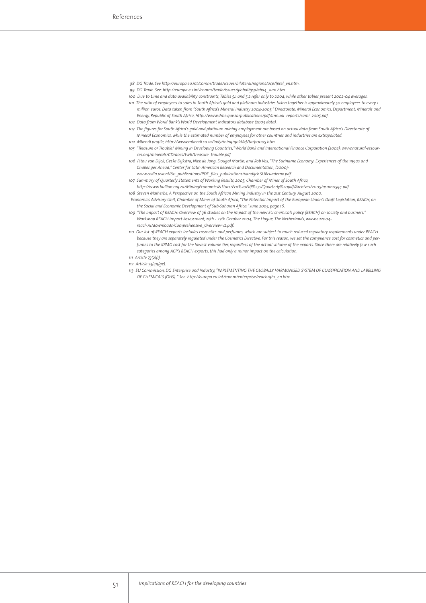- *98 DG Trade. See http://europa.eu.int/comm/trade/issues/bilateral/regions/acp/lprel\_en.htm.*
- *99 DG Trade. See: http://europa.eu.int/comm/trade/issues/global/gsp/eba4\_sum.htm*
- *100 Due to time and data availability constraints, Tables 5.1 and 5.2 refer only to 2004, while other tables present 2002-04 averages.*
- *101 The ratio of employees to sales in South Africa's gold and platinum industries taken together is approximately 50 employees to every 1 million euros. Data taken from "South Africa's Mineral Industry 2004-2005," Directorate: Mineral Economics, Department: Minerals and Energy, Republic of South Africa, http://www.dme.gov.za/publications/pdf/annual\_reports/sami\_2005.pdf.*
- *102 Data from World Bank's World Development Indicators database (2003 data). 103 The figures for South Africa's gold and platinum mining employment are based on actual data from South Africa's Directorate of*
- *Mineral Economics, while the estimated number of employees for other countries and industries are extrapolated. 104 Mbendi profile, http://www.mbendi.co.za/indy/ming/gold/af/ta/p0005.htm.*
- *105 "Treasure or Trouble? Mining in Developing Countries," World Bank and International Finance Corporation (2002): www.natural-resour*
	- *ces.org/minerals/CD/docs/twb/treasure\_trouble.pdf.*
- *106 Pitou van Dijck, Geske Dijkstra, Niek de Jong, Dougal Martin, and Rob Vos, "The Suriname Economy: Experiences of the 1990s and Challenges Ahead," Center for Latin American Research and Documentation, (2000):*
- *www.cedla.uva.nl/60\_publications/PDF\_files\_publications/vandijck SURcuaderno.pdf.*
- *107 Summary of Quarterly Statements of Working Results, 2005, Chamber of Mines of South Africa, http://www.bullion.org.za/MiningEconomics&Stats/Eco%20Pdf%27s/Quarterly%20pdf/Archives/2005/qsum05q4.pdf.*
- *108 Steven Malherbe, A Perspective on the South African Mining Industry in the 21st Century, August 2000.*
- *Economics Advisory Unit, Chamber of Mines of South Africa, "The Potential Impact of the European Union's Draft Legislation, REACH, on the Social and Economic Development of Sub-Saharan Africa," June 2005, page 16.*
- *109 "The impact of REACH: Overview of 36 studies on the impact of the new EU chemicals policy (REACH) on society and business," Workshop REACH Impact Assessment, 25th - 27th October 2004, The Hague, The Netherlands, www.eu2004 reach.nl/downloads/Comprehensive\_Overview-v2.pdf.*
- *110 Our list of REACH exports includes cosmetics and perfumes, which are subject to much reduced regulatory requirements under REACH because they are separately regulated under the Cosmetics Directive. For this reason, we set the compliance cost for cosmetics and perfumes to the KPMG cost for the lowest volume tier, regardless of the actual volume of the exports. Since there are relatively few such categories among ACP's REACH exports, this had only a minor impact on the calculation.*
- *111 Article 73(2)(i).*
- *112 Article 73(49(ge).*
- *113 EU Commission, DG Enterprise and Industry, "IMPLEMENTING THE GLOBALLY HARMONISED SYSTEM OF CLASSIFICATION AND LABELLING OF CHEMICALS (GHS). " See: http://europa.eu.int/comm/enterprise/reach/ghs\_en.htm*